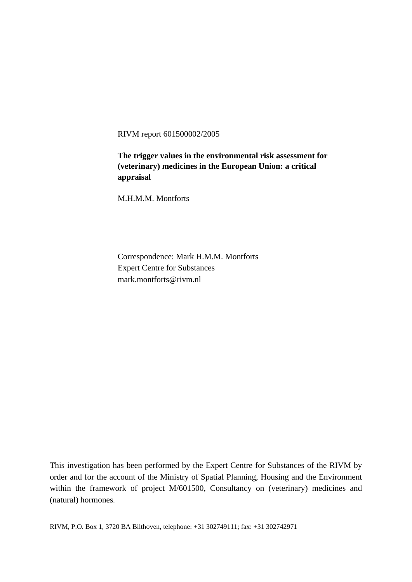RIVM report 601500002/2005

**The trigger values in the environmental risk assessment for (veterinary) medicines in the European Union: a critical appraisal** 

M.H.M.M. Montforts

Correspondence: Mark H.M.M. Montforts Expert Centre for Substances mark.montforts@rivm.nl

This investigation has been performed by the Expert Centre for Substances of the RIVM by order and for the account of the Ministry of Spatial Planning, Housing and the Environment within the framework of project M/601500, Consultancy on (veterinary) medicines and (natural) hormones.

RIVM, P.O. Box 1, 3720 BA Bilthoven, telephone: +31 302749111; fax: +31 302742971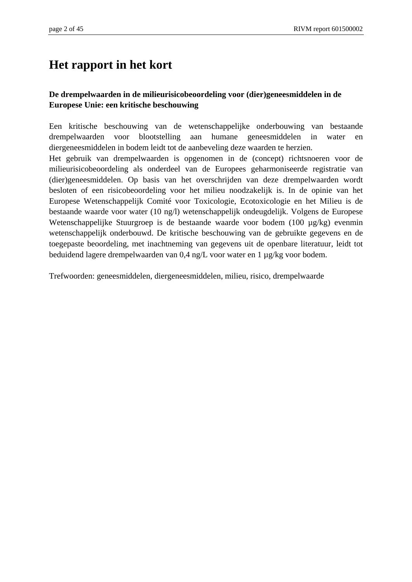## **Het rapport in het kort**

#### **De drempelwaarden in de milieurisicobeoordeling voor (dier)geneesmiddelen in de Europese Unie: een kritische beschouwing**

Een kritische beschouwing van de wetenschappelijke onderbouwing van bestaande drempelwaarden voor blootstelling aan humane geneesmiddelen in water en diergeneesmiddelen in bodem leidt tot de aanbeveling deze waarden te herzien. Het gebruik van drempelwaarden is opgenomen in de (concept) richtsnoeren voor de milieurisicobeoordeling als onderdeel van de Europees geharmoniseerde registratie van (dier)geneesmiddelen. Op basis van het overschrijden van deze drempelwaarden wordt besloten of een risicobeoordeling voor het milieu noodzakelijk is. In de opinie van het Europese Wetenschappelijk Comité voor Toxicologie, Ecotoxicologie en het Milieu is de bestaande waarde voor water (10 ng/l) wetenschappelijk ondeugdelijk. Volgens de Europese Wetenschappelijke Stuurgroep is de bestaande waarde voor bodem (100 µg/kg) evenmin wetenschappelijk onderbouwd. De kritische beschouwing van de gebruikte gegevens en de toegepaste beoordeling, met inachtneming van gegevens uit de openbare literatuur, leidt tot beduidend lagere drempelwaarden van 0,4 ng/L voor water en 1 µg/kg voor bodem.

Trefwoorden: geneesmiddelen, diergeneesmiddelen, milieu, risico, drempelwaarde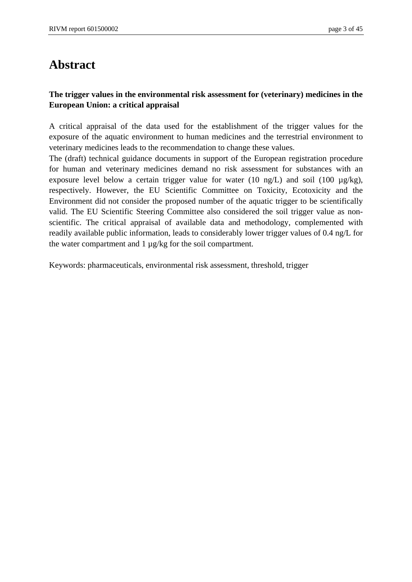## **Abstract**

#### **The trigger values in the environmental risk assessment for (veterinary) medicines in the European Union: a critical appraisal**

A critical appraisal of the data used for the establishment of the trigger values for the exposure of the aquatic environment to human medicines and the terrestrial environment to veterinary medicines leads to the recommendation to change these values.

The (draft) technical guidance documents in support of the European registration procedure for human and veterinary medicines demand no risk assessment for substances with an exposure level below a certain trigger value for water (10 ng/L) and soil (100  $\mu$ g/kg), respectively. However, the EU Scientific Committee on Toxicity, Ecotoxicity and the Environment did not consider the proposed number of the aquatic trigger to be scientifically valid. The EU Scientific Steering Committee also considered the soil trigger value as nonscientific. The critical appraisal of available data and methodology, complemented with readily available public information, leads to considerably lower trigger values of 0.4 ng/L for the water compartment and  $1 \mu g/kg$  for the soil compartment.

Keywords: pharmaceuticals, environmental risk assessment, threshold, trigger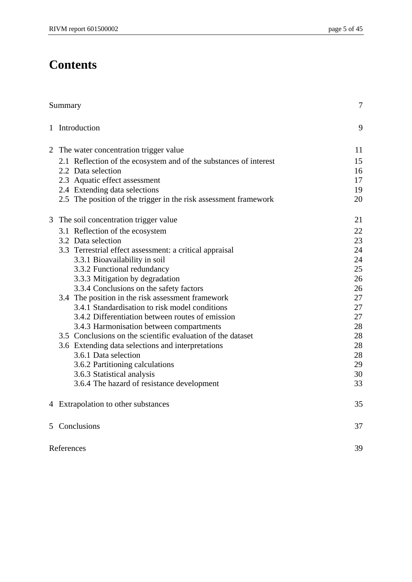# **Contents**

|   | Summary                                                           | $\overline{7}$ |
|---|-------------------------------------------------------------------|----------------|
|   | 1 Introduction                                                    | 9              |
| 2 | The water concentration trigger value                             | 11             |
|   | 2.1 Reflection of the ecosystem and of the substances of interest | 15             |
|   | 2.2 Data selection                                                | 16             |
|   | 2.3 Aquatic effect assessment                                     | 17             |
|   | 2.4 Extending data selections                                     | 19             |
|   | 2.5 The position of the trigger in the risk assessment framework  | 20             |
| 3 | The soil concentration trigger value                              | 21             |
|   | 3.1 Reflection of the ecosystem                                   | 22             |
|   | 3.2 Data selection                                                | 23             |
|   | 3.3 Terrestrial effect assessment: a critical appraisal           | 24             |
|   | 3.3.1 Bioavailability in soil                                     | 24             |
|   | 3.3.2 Functional redundancy                                       | 25             |
|   | 3.3.3 Mitigation by degradation                                   | 26             |
|   | 3.3.4 Conclusions on the safety factors                           | 26             |
|   | 3.4 The position in the risk assessment framework                 | 27             |
|   | 3.4.1 Standardisation to risk model conditions                    | 27             |
|   | 3.4.2 Differentiation between routes of emission                  | 27             |
|   | 3.4.3 Harmonisation between compartments                          | 28             |
|   | 3.5 Conclusions on the scientific evaluation of the dataset       | 28             |
|   | 3.6 Extending data selections and interpretations                 | 28             |
|   | 3.6.1 Data selection                                              | 28             |
|   | 3.6.2 Partitioning calculations                                   | 29             |
|   | 3.6.3 Statistical analysis                                        | 30             |
|   | 3.6.4 The hazard of resistance development                        | 33             |
|   | 4 Extrapolation to other substances                               | 35             |
|   | 5 Conclusions                                                     | 37             |
|   | References                                                        | 39             |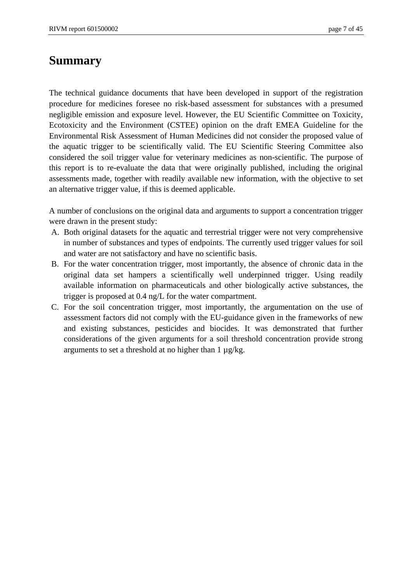## **Summary**

The technical guidance documents that have been developed in support of the registration procedure for medicines foresee no risk-based assessment for substances with a presumed negligible emission and exposure level. However, the EU Scientific Committee on Toxicity, Ecotoxicity and the Environment (CSTEE) opinion on the draft EMEA Guideline for the Environmental Risk Assessment of Human Medicines did not consider the proposed value of the aquatic trigger to be scientifically valid. The EU Scientific Steering Committee also considered the soil trigger value for veterinary medicines as non-scientific. The purpose of this report is to re-evaluate the data that were originally published, including the original assessments made, together with readily available new information, with the objective to set an alternative trigger value, if this is deemed applicable.

A number of conclusions on the original data and arguments to support a concentration trigger were drawn in the present study:

- A. Both original datasets for the aquatic and terrestrial trigger were not very comprehensive in number of substances and types of endpoints. The currently used trigger values for soil and water are not satisfactory and have no scientific basis.
- B. For the water concentration trigger, most importantly, the absence of chronic data in the original data set hampers a scientifically well underpinned trigger. Using readily available information on pharmaceuticals and other biologically active substances, the trigger is proposed at 0.4 ng/L for the water compartment.
- C. For the soil concentration trigger, most importantly, the argumentation on the use of assessment factors did not comply with the EU-guidance given in the frameworks of new and existing substances, pesticides and biocides. It was demonstrated that further considerations of the given arguments for a soil threshold concentration provide strong arguments to set a threshold at no higher than  $1 \mu g/kg$ .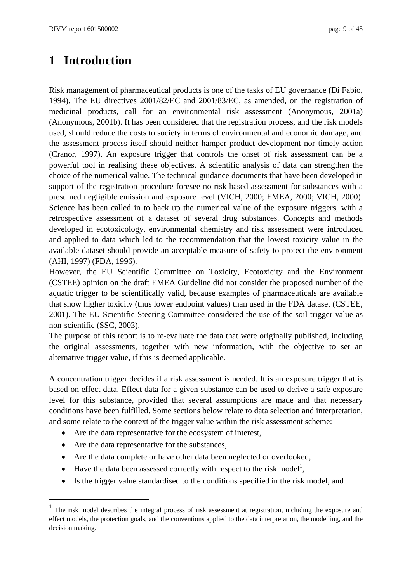# **1 Introduction**

Risk management of pharmaceutical products is one of the tasks of EU governance (Di Fabio, 1994). The EU directives 2001/82/EC and 2001/83/EC, as amended, on the registration of medicinal products, call for an environmental risk assessment (Anonymous, 2001a) (Anonymous, 2001b). It has been considered that the registration process, and the risk models used, should reduce the costs to society in terms of environmental and economic damage, and the assessment process itself should neither hamper product development nor timely action (Cranor, 1997). An exposure trigger that controls the onset of risk assessment can be a powerful tool in realising these objectives. A scientific analysis of data can strengthen the choice of the numerical value. The technical guidance documents that have been developed in support of the registration procedure foresee no risk-based assessment for substances with a presumed negligible emission and exposure level (VICH, 2000; EMEA, 2000; VICH, 2000). Science has been called in to back up the numerical value of the exposure triggers, with a retrospective assessment of a dataset of several drug substances. Concepts and methods developed in ecotoxicology, environmental chemistry and risk assessment were introduced and applied to data which led to the recommendation that the lowest toxicity value in the available dataset should provide an acceptable measure of safety to protect the environment (AHI, 1997) (FDA, 1996).

However, the EU Scientific Committee on Toxicity, Ecotoxicity and the Environment (CSTEE) opinion on the draft EMEA Guideline did not consider the proposed number of the aquatic trigger to be scientifically valid, because examples of pharmaceuticals are available that show higher toxicity (thus lower endpoint values) than used in the FDA dataset (CSTEE, 2001). The EU Scientific Steering Committee considered the use of the soil trigger value as non-scientific (SSC, 2003).

The purpose of this report is to re-evaluate the data that were originally published, including the original assessments, together with new information, with the objective to set an alternative trigger value, if this is deemed applicable.

A concentration trigger decides if a risk assessment is needed. It is an exposure trigger that is based on effect data. Effect data for a given substance can be used to derive a safe exposure level for this substance, provided that several assumptions are made and that necessary conditions have been fulfilled. Some sections below relate to data selection and interpretation, and some relate to the context of the trigger value within the risk assessment scheme:

- Are the data representative for the ecosystem of interest,
- Are the data representative for the substances,

1

- Are the data complete or have other data been neglected or overlooked,
- Have the data been assessed correctly with respect to the risk model<sup>1</sup>,
- Is the trigger value standardised to the conditions specified in the risk model, and

<sup>&</sup>lt;sup>1</sup> The risk model describes the integral process of risk assessment at registration, including the exposure and effect models, the protection goals, and the conventions applied to the data interpretation, the modelling, and the decision making.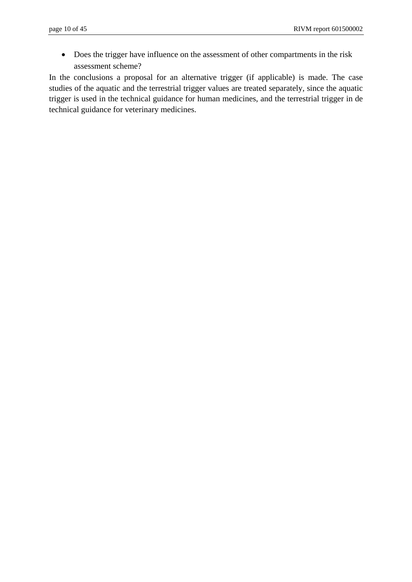• Does the trigger have influence on the assessment of other compartments in the risk assessment scheme?

In the conclusions a proposal for an alternative trigger (if applicable) is made. The case studies of the aquatic and the terrestrial trigger values are treated separately, since the aquatic trigger is used in the technical guidance for human medicines, and the terrestrial trigger in de technical guidance for veterinary medicines.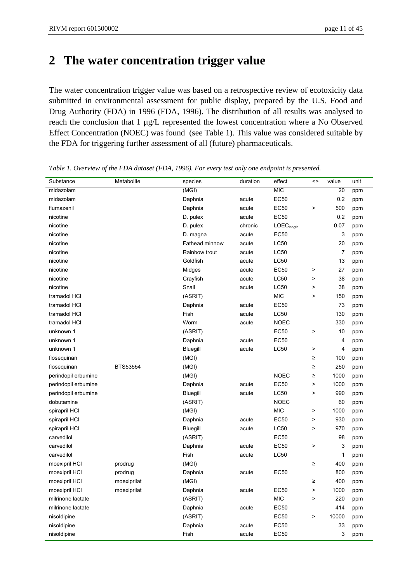# **2 The water concentration trigger value**

The water concentration trigger value was based on a retrospective review of ecotoxicity data submitted in environmental assessment for public display, prepared by the U.S. Food and Drug Authority (FDA) in 1996 (FDA, 1996). The distribution of all results was analysed to reach the conclusion that 1 µg/L represented the lowest concentration where a No Observed Effect Concentration (NOEC) was found (see Table 1). This value was considered suitable by the FDA for triggering further assessment of all (future) pharmaceuticals.

| Substance           | Metabolite  | species        | duration | effect                 | <>        | value | unit |
|---------------------|-------------|----------------|----------|------------------------|-----------|-------|------|
| midazolam           |             | (MGI)          |          | <b>MIC</b>             |           | 20    | ppm  |
| midazolam           |             | Daphnia        | acute    | <b>EC50</b>            |           | 0.2   | ppm  |
| flumazenil          |             | Daphnia        | acute    | <b>EC50</b>            | $\,$      | 500   | ppm  |
| nicotine            |             | D. pulex       | acute    | <b>EC50</b>            |           | 0.2   | ppm  |
| nicotine            |             | D. pulex       | chronic  | LOEC <sub>length</sub> |           | 0.07  | ppm  |
| nicotine            |             | D. magna       | acute    | <b>EC50</b>            |           | 3     | ppm  |
| nicotine            |             | Fathead minnow | acute    | <b>LC50</b>            |           | 20    | ppm  |
| nicotine            |             | Rainbow trout  | acute    | <b>LC50</b>            |           | 7     | ppm  |
| nicotine            |             | Goldfish       | acute    | <b>LC50</b>            |           | 13    | ppm  |
| nicotine            |             | Midges         | acute    | <b>EC50</b>            | $\,$      | 27    | ppm  |
| nicotine            |             | Crayfish       | acute    | <b>LC50</b>            | >         | 38    | ppm  |
| nicotine            |             | Snail          | acute    | <b>LC50</b>            | >         | 38    | ppm  |
| tramadol HCI        |             | (ASRIT)        |          | <b>MIC</b>             | $\, > \,$ | 150   | ppm  |
| tramadol HCI        |             | Daphnia        | acute    | <b>EC50</b>            |           | 73    | ppm  |
| tramadol HCI        |             | Fish           | acute    | <b>LC50</b>            |           | 130   | ppm  |
| tramadol HCI        |             | Worm           | acute    | <b>NOEC</b>            |           | 330   | ppm  |
| unknown 1           |             | (ASRIT)        |          | <b>EC50</b>            | >         | 10    | ppm  |
| unknown 1           |             | Daphnia        | acute    | <b>EC50</b>            |           | 4     | ppm  |
| unknown 1           |             | Bluegill       | acute    | <b>LC50</b>            | >         | 4     | ppm  |
| flosequinan         |             | (MGI)          |          |                        | ≥         | 100   | ppm  |
| flosequinan         | BTS53554    | (MGI)          |          |                        | ≥         | 250   | ppm  |
| perindopil erbumine |             | (MGI)          |          | <b>NOEC</b>            | ≥         | 1000  | ppm  |
| perindopil erbumine |             | Daphnia        | acute    | <b>EC50</b>            | >         | 1000  | ppm  |
| perindopil erbumine |             | Bluegill       | acute    | <b>LC50</b>            | $\,$      | 990   | ppm  |
| dobutamine          |             | (ASRIT)        |          | <b>NOEC</b>            |           | 60    | ppm  |
| spirapril HCI       |             | (MGI)          |          | <b>MIC</b>             | $\,$      | 1000  | ppm  |
| spirapril HCI       |             | Daphnia        | acute    | <b>EC50</b>            | >         | 930   | ppm  |
| spirapril HCI       |             | Bluegill       | acute    | <b>LC50</b>            | $\,$      | 970   | ppm  |
| carvedilol          |             | (ASRIT)        |          | <b>EC50</b>            |           | 98    | ppm  |
| carvedilol          |             | Daphnia        | acute    | <b>EC50</b>            | $\,$      | 3     | ppm  |
| carvedilol          |             | Fish           | acute    | <b>LC50</b>            |           | 1     | ppm  |
| moexipril HCI       | prodrug     | (MGI)          |          |                        | ≥         | 400   | ppm  |
| moexipril HCI       | prodrug     | Daphnia        | acute    | <b>EC50</b>            |           | 800   | ppm  |
| moexipril HCI       | moexiprilat | (MGI)          |          |                        | ≥         | 400   | ppm  |
| moexipril HCI       | moexiprilat | Daphnia        | acute    | <b>EC50</b>            | >         | 1000  | ppm  |
| milrinone lactate   |             | (ASRIT)        |          | <b>MIC</b>             | $\,$      | 220   | ppm  |
| milrinone lactate   |             | Daphnia        | acute    | <b>EC50</b>            |           | 414   | ppm  |
| nisoldipine         |             | (ASRIT)        |          | <b>EC50</b>            | $\,$      | 10000 | ppm  |
| nisoldipine         |             | Daphnia        | acute    | <b>EC50</b>            |           | 33    | ppm  |
| nisoldipine         |             | Fish           | acute    | <b>EC50</b>            |           | 3     | ppm  |

*Table 1. Overview of the FDA dataset (FDA, 1996). For every test only one endpoint is presented.*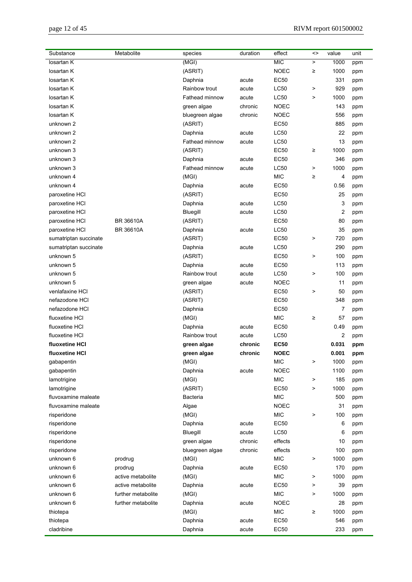| Substance             | Metabolite         | species         | duration         | effect                 | <>        | value                   | unit       |
|-----------------------|--------------------|-----------------|------------------|------------------------|-----------|-------------------------|------------|
| losartan K            |                    | (MGI)           |                  | <b>MIC</b>             | $\, > \,$ | 1000                    | ppm        |
| losartan K            |                    | (ASRIT)         |                  | <b>NOEC</b>            | ≥         | 1000                    | ppm        |
| losartan K            |                    | Daphnia         | acute            | <b>EC50</b>            |           | 331                     | ppm        |
| losartan K            |                    | Rainbow trout   | acute            | <b>LC50</b>            | $\,$      | 929                     | ppm        |
| losartan K            |                    | Fathead minnow  | acute            | <b>LC50</b>            | $\, > \,$ | 1000                    | ppm        |
| losartan K            |                    | green algae     | chronic          | <b>NOEC</b>            |           | 143                     | ppm        |
| losartan K            |                    | bluegreen algae | chronic          | <b>NOEC</b>            |           | 556                     | ppm        |
| unknown 2             |                    | (ASRIT)         |                  | <b>EC50</b>            |           | 885                     | ppm        |
| unknown 2             |                    | Daphnia         | acute            | <b>LC50</b>            |           | 22                      | ppm        |
| unknown 2             |                    | Fathead minnow  | acute            | <b>LC50</b>            |           | 13                      | ppm        |
| unknown 3             |                    | (ASRIT)         |                  | <b>EC50</b>            | ≥         | 1000                    | ppm        |
| unknown 3             |                    | Daphnia         | acute            | <b>EC50</b>            |           | 346                     | ppm        |
| unknown 3             |                    | Fathead minnow  | acute            | <b>LC50</b>            | $\,$      | 1000                    | ppm        |
| unknown 4             |                    | (MGI)           |                  | <b>MIC</b>             | ≥         | 4                       | ppm        |
| unknown 4             |                    | Daphnia         | acute            | <b>EC50</b>            |           | 0.56                    | ppm        |
| paroxetine HCI        |                    | (ASRIT)         |                  | <b>EC50</b>            |           | 25                      | ppm        |
| paroxetine HCl        |                    | Daphnia         | acute            | <b>LC50</b>            |           | 3                       | ppm        |
| paroxetine HCl        |                    | Bluegill        | acute            | <b>LC50</b>            |           | $\overline{\mathbf{c}}$ | ppm        |
| paroxetine HCl        | BR 36610A          | (ASRIT)         |                  | <b>EC50</b>            |           | 80                      | ppm        |
| paroxetine HCl        | BR 36610A          | Daphnia         | acute            | <b>LC50</b>            |           | 35                      | ppm        |
| sumatriptan succinate |                    | (ASRIT)         |                  | <b>EC50</b>            | >         | 720                     | ppm        |
| sumatriptan succinate |                    | Daphnia         | acute            | <b>LC50</b>            |           | 290                     | ppm        |
| unknown 5             |                    | (ASRIT)         |                  | <b>EC50</b>            | $\,$      | 100                     | ppm        |
| unknown 5             |                    | Daphnia         | acute            | <b>EC50</b>            |           | 113                     | ppm        |
| unknown 5             |                    | Rainbow trout   | acute            | <b>LC50</b>            | >         | 100                     | ppm        |
| unknown 5             |                    | green algae     | acute            | <b>NOEC</b>            |           | 11                      | ppm        |
| venlafaxine HCI       |                    | (ASRIT)         |                  | <b>EC50</b>            | >         | 50                      | ppm        |
| nefazodone HCl        |                    | (ASRIT)         |                  | <b>EC50</b>            |           | 348                     | ppm        |
| nefazodone HCI        |                    | Daphnia         |                  | <b>EC50</b>            |           | 7                       | ppm        |
| fluoxetine HCI        |                    | (MGI)           |                  | <b>MIC</b>             | ≥         | 57                      |            |
| fluoxetine HCI        |                    | Daphnia         | acute            | <b>EC50</b>            |           | 0.49                    | ppm<br>ppm |
| fluoxetine HCI        |                    | Rainbow trout   | acute            | <b>LC50</b>            |           | $\overline{\mathbf{c}}$ | ppm        |
| fluoxetine HCI        |                    | green algae     | chronic          | <b>EC50</b>            |           | 0.031                   | ppm        |
| fluoxetine HCI        |                    | green algae     | chronic          | <b>NOEC</b>            |           | 0.001                   | ppm        |
| gabapentin            |                    | (MGI)           |                  | <b>MIC</b>             | >         | 1000                    | ppm        |
| gabapentin            |                    | Daphnia         | acute            | <b>NOEC</b>            |           | 1100                    | ppm        |
| lamotrigine           |                    | (MGI)           |                  | <b>MIC</b>             | $\,$      | 185                     |            |
| lamotrigine           |                    | (ASRIT)         |                  | <b>EC50</b>            | $\,$      | 1000                    | ppm        |
| fluvoxamine maleate   |                    | Bacteria        |                  | <b>MIC</b>             |           | 500                     | ppm        |
| fluvoxamine maleate   |                    | Algae           |                  | <b>NOEC</b>            |           | 31                      | ppm<br>ppm |
| risperidone           |                    | (MGI)           |                  | <b>MIC</b>             | >         | 100                     |            |
| risperidone           |                    | Daphnia         | acute            | <b>EC50</b>            |           | 6                       | ppm        |
|                       |                    |                 |                  |                        |           |                         | ppm        |
| risperidone           |                    | Bluegill        | acute<br>chronic | <b>LC50</b><br>effects |           | 6                       | ppm        |
| risperidone           |                    | green algae     |                  |                        |           | 10                      | ppm        |
| risperidone           |                    | bluegreen algae | chronic          | effects                |           | 100                     | ppm        |
| unknown 6             | prodrug            | (MGI)           |                  | <b>MIC</b>             | $\,$      | 1000                    | ppm        |
| unknown 6             | prodrug            | Daphnia         | acute            | <b>EC50</b>            |           | 170                     | ppm        |
| unknown 6             | active metabolite  | (MGI)           |                  | <b>MIC</b>             | $\,$      | 1000                    | ppm        |
| unknown 6             | active metabolite  | Daphnia         | acute            | <b>EC50</b>            | $\,$      | 39                      | ppm        |
| unknown 6             | further metabolite | (MGI)           |                  | <b>MIC</b>             | >         | 1000                    | ppm        |
| unknown 6             | further metabolite | Daphnia         | acute            | <b>NOEC</b>            |           | 28                      | ppm        |
| thiotepa              |                    | (MGI)           |                  | <b>MIC</b>             | ≥         | 1000                    | ppm        |
| thiotepa              |                    | Daphnia         | acute            | <b>EC50</b>            |           | 546                     | ppm        |
| cladribine            |                    | Daphnia         | acute            | <b>EC50</b>            |           | 233                     | ppm        |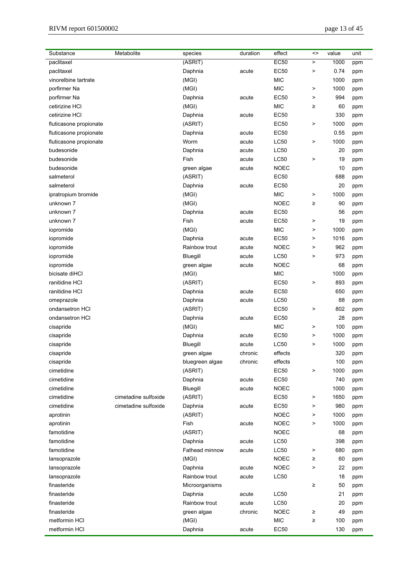| Substance              | Metabolite           | species         | duration | effect      | $\leftrightarrow$ | value | unit       |
|------------------------|----------------------|-----------------|----------|-------------|-------------------|-------|------------|
| paclitaxel             |                      | (ASRIT)         |          | <b>EC50</b> | $\, > \,$         | 1000  | ppm        |
| paclitaxel             |                      | Daphnia         | acute    | <b>EC50</b> | >                 | 0.74  | ppm        |
| vinorelbine tartrate   |                      | (MGI)           |          | <b>MIC</b>  |                   | 1000  | ppm        |
| porfirmer Na           |                      | (MGI)           |          | <b>MIC</b>  | >                 | 1000  | ppm        |
| porfirmer Na           |                      | Daphnia         | acute    | <b>EC50</b> | >                 | 994   | ppm        |
| cetirizine HCI         |                      | (MGI)           |          | <b>MIC</b>  | ≥                 | 60    | ppm        |
| cetirizine HCI         |                      | Daphnia         | acute    | <b>EC50</b> |                   | 330   | ppm        |
| fluticasone propionate |                      | (ASRIT)         |          | <b>EC50</b> | >                 | 1000  | ppm        |
| fluticasone propionate |                      | Daphnia         | acute    | <b>EC50</b> |                   | 0.55  | ppm        |
| fluticasone propionate |                      | Worm            | acute    | <b>LC50</b> | >                 | 1000  | ppm        |
| budesonide             |                      | Daphnia         | acute    | <b>LC50</b> |                   | 20    | ppm        |
| budesonide             |                      | Fish            | acute    | <b>LC50</b> | >                 | 19    | ppm        |
| budesonide             |                      | green algae     | acute    | <b>NOEC</b> |                   | 10    | ppm        |
| salmeterol             |                      | (ASRIT)         |          | <b>EC50</b> |                   | 688   | ppm        |
| salmeterol             |                      | Daphnia         | acute    | <b>EC50</b> |                   | 20    | ppm        |
| ipratropium bromide    |                      | (MGI)           |          | <b>MIC</b>  | >                 | 1000  | ppm        |
| unknown 7              |                      | (MGI)           |          | <b>NOEC</b> | $\geq$            | 90    | ppm        |
| unknown 7              |                      | Daphnia         | acute    | <b>EC50</b> |                   | 56    | ppm        |
| unknown 7              |                      | Fish            | acute    | <b>EC50</b> | >                 | 19    | ppm        |
| iopromide              |                      | (MGI)           |          | <b>MIC</b>  | >                 | 1000  | ppm        |
| iopromide              |                      | Daphnia         | acute    | <b>EC50</b> | >                 | 1016  | ppm        |
| iopromide              |                      | Rainbow trout   | acute    | <b>NOEC</b> | >                 | 962   | ppm        |
| iopromide              |                      | Bluegill        | acute    | <b>LC50</b> | $\,$              | 973   | ppm        |
| iopromide              |                      | green algae     | acute    | NOEC        |                   | 68    | ppm        |
| bicisate diHCl         |                      | (MGI)           |          | <b>MIC</b>  |                   | 1000  | ppm        |
| ranitidine HCI         |                      | (ASRIT)         |          | <b>EC50</b> | >                 | 893   | ppm        |
| ranitidine HCI         |                      | Daphnia         | acute    | <b>EC50</b> |                   | 650   | ppm        |
| omeprazole             |                      | Daphnia         | acute    | <b>LC50</b> |                   | 88    | ppm        |
| ondansetron HCI        |                      | (ASRIT)         |          | <b>EC50</b> | >                 | 802   | ppm        |
| ondansetron HCI        |                      | Daphnia         | acute    | <b>EC50</b> |                   | 28    | ppm        |
| cisapride              |                      | (MGI)           |          | <b>MIC</b>  | $\, > \,$         | 100   | ppm        |
| cisapride              |                      | Daphnia         | acute    | <b>EC50</b> | $\,$              | 1000  | ppm        |
| cisapride              |                      | Bluegill        | acute    | <b>LC50</b> | $\, > \,$         | 1000  | ppm        |
| cisapride              |                      | green algae     | chronic  | effects     |                   | 320   |            |
| cisapride              |                      | bluegreen algae | chronic  | effects     |                   | 100   | ppm<br>ppm |
| cimetidine             |                      | (ASRIT)         |          | <b>EC50</b> | >                 | 1000  | ppm        |
| cimetidine             |                      | Daphnia         | acute    | <b>EC50</b> |                   | 740   | ppm        |
| cimetidine             |                      | Bluegill        | acute    | <b>NOEC</b> |                   | 1000  | ppm        |
| cimetidine             | cimetadine sulfoxide | (ASRIT)         |          | <b>EC50</b> | $\,$              | 1650  | ppm        |
| cimetidine             | cimetadine sulfoxide | Daphnia         | acute    | <b>EC50</b> | >                 | 980   | ppm        |
| aprotinin              |                      | (ASRIT)         |          | <b>NOEC</b> | >                 | 1000  |            |
| aprotinin              |                      | Fish            | acute    | <b>NOEC</b> | >                 | 1000  | ppm        |
| famotidine             |                      |                 |          | <b>NOEC</b> |                   | 68    | ppm        |
| famotidine             |                      | (ASRIT)         |          | LC50        |                   | 398   | ppm        |
| famotidine             |                      | Daphnia         | acute    |             |                   |       | ppm        |
|                        |                      | Fathead minnow  | acute    | <b>LC50</b> | $\,$              | 680   | ppm        |
| lansoprazole           |                      | (MGI)           |          | <b>NOEC</b> | ≥<br>$\mathbf{L}$ | 60    | ppm        |
| lansoprazole           |                      | Daphnia         | acute    | <b>NOEC</b> |                   | 22    | ppm        |
| lansoprazole           |                      | Rainbow trout   | acute    | <b>LC50</b> |                   | 18    | ppm        |
| finasteride            |                      | Microorganisms  |          |             | $\geq$            | 50    | ppm        |
| finasteride            |                      | Daphnia         | acute    | <b>LC50</b> |                   | 21    | ppm        |
| finasteride            |                      | Rainbow trout   | acute    | <b>LC50</b> |                   | 20    | ppm        |
| finasteride            |                      | green algae     | chronic  | <b>NOEC</b> | ≥                 | 49    | ppm        |
| metformin HCI          |                      | (MGI)           |          | <b>MIC</b>  | $\geq$            | 100   | ppm        |
| metformin HCI          |                      | Daphnia         | acute    | <b>EC50</b> |                   | 130   | ppm        |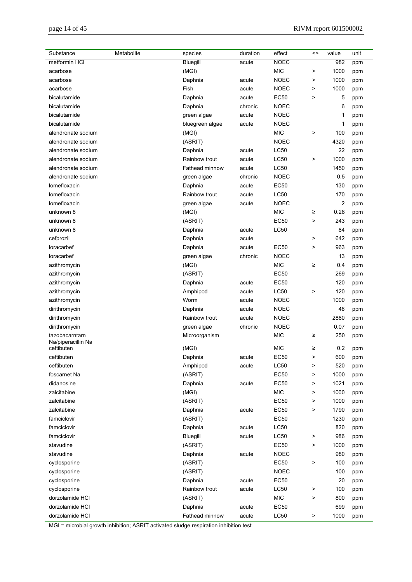| Metabolite<br>Substance          | species         | duration | effect      | <>        | value | unit |
|----------------------------------|-----------------|----------|-------------|-----------|-------|------|
| metformin HCI                    | Bluegill        | acute    | <b>NOEC</b> |           | 982   | ppm  |
| acarbose                         | (MGI)           |          | <b>MIC</b>  | $\, >$    | 1000  | ppm  |
| acarbose                         | Daphnia         | acute    | <b>NOEC</b> | $\,$      | 1000  | ppm  |
| acarbose                         | Fish            | acute    | <b>NOEC</b> | $\,$      | 1000  | ppm  |
| bicalutamide                     | Daphnia         | acute    | <b>EC50</b> | $\,$      | 5     | ppm  |
| bicalutamide                     | Daphnia         | chronic  | <b>NOEC</b> |           | 6     | ppm  |
| bicalutamide                     | green algae     | acute    | <b>NOEC</b> |           | 1     | ppm  |
| bicalutamide                     | bluegreen algae | acute    | <b>NOEC</b> |           | 1     | ppm  |
| alendronate sodium               | (MGI)           |          | <b>MIC</b>  | $\,$      | 100   | ppm  |
| alendronate sodium               | (ASRIT)         |          | <b>NOEC</b> |           | 4320  | ppm  |
| alendronate sodium               | Daphnia         | acute    | <b>LC50</b> |           | 22    | ppm  |
| alendronate sodium               | Rainbow trout   | acute    | <b>LC50</b> | $\, > \,$ | 1000  | ppm  |
| alendronate sodium               | Fathead minnow  | acute    | <b>LC50</b> |           | 1450  | ppm  |
| alendronate sodium               | green algae     | chronic  | <b>NOEC</b> |           | 0.5   | ppm  |
| lomefloxacin                     | Daphnia         | acute    | <b>EC50</b> |           | 130   | ppm  |
| lomefloxacin                     | Rainbow trout   | acute    | <b>LC50</b> |           | 170   | ppm  |
| lomefloxacin                     | green algae     | acute    | <b>NOEC</b> |           | 2     | ppm  |
| unknown 8                        | (MGI)           |          | <b>MIC</b>  | ≥         | 0.28  | ppm  |
| unknown 8                        | (ASRIT)         |          | <b>EC50</b> | $\,$      | 243   | ppm  |
| unknown 8                        | Daphnia         | acute    | <b>LC50</b> |           | 84    | ppm  |
| cefprozil                        | Daphnia         | acute    |             | $\, >$    | 642   | ppm  |
| loracarbef                       | Daphnia         | acute    | <b>EC50</b> | $\,$      | 963   | ppm  |
| loracarbef                       | green algae     | chronic  | <b>NOEC</b> |           | 13    | ppm  |
| azithromycin                     | (MGI)           |          | <b>MIC</b>  | ≥         | 0.4   | ppm  |
| azithromycin                     | (ASRIT)         |          | <b>EC50</b> |           | 269   | ppm  |
| azithromycin                     | Daphnia         | acute    | <b>EC50</b> |           | 120   | ppm  |
| azithromycin                     | Amphipod        | acute    | <b>LC50</b> | $\,$      | 120   | ppm  |
| azithromycin                     | Worm            | acute    | <b>NOEC</b> |           | 1000  | ppm  |
| dirithromycin                    | Daphnia         | acute    | <b>NOEC</b> |           | 48    | ppm  |
| dirithromycin                    | Rainbow trout   | acute    | <b>NOEC</b> |           | 2880  | ppm  |
| dirithromycin                    | green algae     | chronic  | <b>NOEC</b> |           | 0.07  | ppm  |
| tazobacarntarn                   | Microorganism   |          | <b>MIC</b>  | ≥         | 250   | ppm  |
| Na/piperacillin Na<br>ceftibuten | (MGI)           |          | <b>MIC</b>  | ≥         | 0.2   | ppm  |
| ceftibuten                       | Daphnia         | acute    | <b>EC50</b> |           | 600   | ppm  |
| ceftibuten                       | Amphipod        | acute    | <b>LC50</b> | $\,$      | 520   | ppm  |
| foscarnet Na                     | (ASRIT)         |          | <b>EC50</b> | $\,$      | 1000  | ppm  |
| didanosine                       | Daphnia         | acute    | <b>EC50</b> | $\,$      | 1021  | ppm  |
| zalcitabine                      | (MGI)           |          | <b>MIC</b>  | $\,$      | 1000  | ppm  |
| zalcitabine                      | (ASRIT)         |          | <b>EC50</b> | $\,$      | 1000  | ppm  |
| zalcitabine                      | Daphnia         | acute    | <b>EC50</b> | $\,$      | 1790  | ppm  |
| famciclovir                      | (ASRIT)         |          | <b>EC50</b> |           | 1230  | ppm  |
| famciclovir                      | Daphnia         | acute    | <b>LC50</b> |           | 820   | ppm  |
| famciclovir                      | Bluegill        | acute    | <b>LC50</b> | >         | 986   | ppm  |
| stavudine                        | (ASRIT)         |          | <b>EC50</b> | $\,$      | 1000  | ppm  |
| stavudine                        | Daphnia         | acute    | <b>NOEC</b> |           | 980   | ppm  |
| cyclosporine                     | (ASRIT)         |          | <b>EC50</b> | $\,$      | 100   | ppm  |
| cyclosporine                     | (ASRIT)         |          | <b>NOEC</b> |           | 100   | ppm  |
| cyclosporine                     | Daphnia         | acute    | <b>EC50</b> |           | 20    | ppm  |
| cyclosporine                     | Rainbow trout   | acute    | <b>LC50</b> | $\,$      | 100   | ppm  |
| dorzolamide HCI                  | (ASRIT)         |          | <b>MIC</b>  | $\,$      | 800   | ppm  |
| dorzolamide HCI                  | Daphnia         | acute    | <b>EC50</b> |           | 699   | ppm  |
| dorzolamide HCI                  | Fathead minnow  | acute    | <b>LC50</b> | $\,$      | 1000  | ppm  |

MGI = microbial growth inhibition; ASRIT activated sludge respiration inhibition test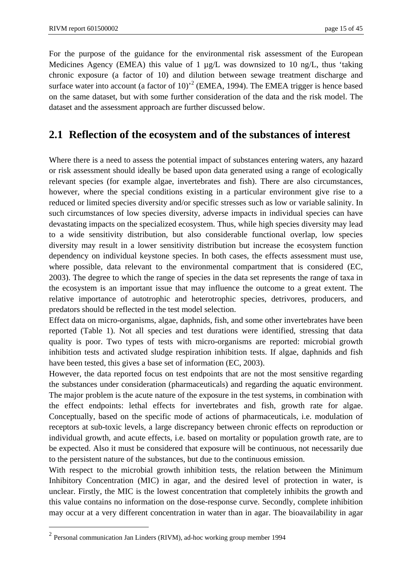For the purpose of the guidance for the environmental risk assessment of the European Medicines Agency (EMEA) this value of 1 µg/L was downsized to 10 ng/L, thus 'taking chronic exposure (a factor of 10) and dilution between sewage treatment discharge and surface water into account (a factor of 10)<sup> $2$ </sup> (EMEA, 1994). The EMEA trigger is hence based on the same dataset, but with some further consideration of the data and the risk model. The dataset and the assessment approach are further discussed below.

### **2.1 Reflection of the ecosystem and of the substances of interest**

Where there is a need to assess the potential impact of substances entering waters, any hazard or risk assessment should ideally be based upon data generated using a range of ecologically relevant species (for example algae, invertebrates and fish). There are also circumstances, however, where the special conditions existing in a particular environment give rise to a reduced or limited species diversity and/or specific stresses such as low or variable salinity. In such circumstances of low species diversity, adverse impacts in individual species can have devastating impacts on the specialized ecosystem. Thus, while high species diversity may lead to a wide sensitivity distribution, but also considerable functional overlap, low species diversity may result in a lower sensitivity distribution but increase the ecosystem function dependency on individual keystone species. In both cases, the effects assessment must use, where possible, data relevant to the environmental compartment that is considered (EC, 2003). The degree to which the range of species in the data set represents the range of taxa in the ecosystem is an important issue that may influence the outcome to a great extent. The relative importance of autotrophic and heterotrophic species, detrivores, producers, and predators should be reflected in the test model selection.

Effect data on micro-organisms, algae, daphnids, fish, and some other invertebrates have been reported (Table 1). Not all species and test durations were identified, stressing that data quality is poor. Two types of tests with micro-organisms are reported: microbial growth inhibition tests and activated sludge respiration inhibition tests. If algae, daphnids and fish have been tested, this gives a base set of information (EC, 2003).

However, the data reported focus on test endpoints that are not the most sensitive regarding the substances under consideration (pharmaceuticals) and regarding the aquatic environment. The major problem is the acute nature of the exposure in the test systems, in combination with the effect endpoints: lethal effects for invertebrates and fish, growth rate for algae. Conceptually, based on the specific mode of actions of pharmaceuticals, i.e. modulation of receptors at sub-toxic levels, a large discrepancy between chronic effects on reproduction or individual growth, and acute effects, i.e. based on mortality or population growth rate, are to be expected. Also it must be considered that exposure will be continuous, not necessarily due to the persistent nature of the substances, but due to the continuous emission.

With respect to the microbial growth inhibition tests, the relation between the Minimum Inhibitory Concentration (MIC) in agar, and the desired level of protection in water, is unclear. Firstly, the MIC is the lowest concentration that completely inhibits the growth and this value contains no information on the dose-response curve. Secondly, complete inhibition may occur at a very different concentration in water than in agar. The bioavailability in agar

1

<sup>2</sup> Personal communication Jan Linders (RIVM), ad-hoc working group member 1994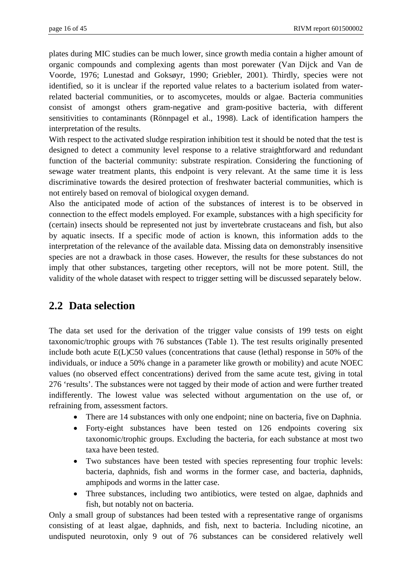plates during MIC studies can be much lower, since growth media contain a higher amount of organic compounds and complexing agents than most porewater (Van Dijck and Van de Voorde, 1976; Lunestad and Goksøyr, 1990; Griebler, 2001). Thirdly, species were not identified, so it is unclear if the reported value relates to a bacterium isolated from waterrelated bacterial communities, or to ascomycetes, moulds or algae. Bacteria communities consist of amongst others gram-negative and gram-positive bacteria, with different sensitivities to contaminants (Rönnpagel et al., 1998). Lack of identification hampers the interpretation of the results.

With respect to the activated sludge respiration inhibition test it should be noted that the test is designed to detect a community level response to a relative straightforward and redundant function of the bacterial community: substrate respiration. Considering the functioning of sewage water treatment plants, this endpoint is very relevant. At the same time it is less discriminative towards the desired protection of freshwater bacterial communities, which is not entirely based on removal of biological oxygen demand.

Also the anticipated mode of action of the substances of interest is to be observed in connection to the effect models employed. For example, substances with a high specificity for (certain) insects should be represented not just by invertebrate crustaceans and fish, but also by aquatic insects. If a specific mode of action is known, this information adds to the interpretation of the relevance of the available data. Missing data on demonstrably insensitive species are not a drawback in those cases. However, the results for these substances do not imply that other substances, targeting other receptors, will not be more potent. Still, the validity of the whole dataset with respect to trigger setting will be discussed separately below.

### **2.2 Data selection**

The data set used for the derivation of the trigger value consists of 199 tests on eight taxonomic/trophic groups with 76 substances (Table 1). The test results originally presented include both acute E(L)C50 values (concentrations that cause (lethal) response in 50% of the individuals, or induce a 50% change in a parameter like growth or mobility) and acute NOEC values (no observed effect concentrations) derived from the same acute test, giving in total 276 'results'. The substances were not tagged by their mode of action and were further treated indifferently. The lowest value was selected without argumentation on the use of, or refraining from, assessment factors.

- There are 14 substances with only one endpoint; nine on bacteria, five on Daphnia.
- Forty-eight substances have been tested on 126 endpoints covering six taxonomic/trophic groups. Excluding the bacteria, for each substance at most two taxa have been tested.
- Two substances have been tested with species representing four trophic levels: bacteria, daphnids, fish and worms in the former case, and bacteria, daphnids, amphipods and worms in the latter case.
- Three substances, including two antibiotics, were tested on algae, daphnids and fish, but notably not on bacteria.

Only a small group of substances had been tested with a representative range of organisms consisting of at least algae, daphnids, and fish, next to bacteria. Including nicotine, an undisputed neurotoxin, only 9 out of 76 substances can be considered relatively well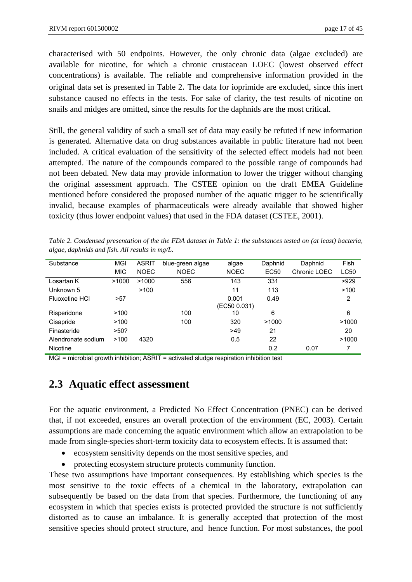characterised with 50 endpoints. However, the only chronic data (algae excluded) are available for nicotine, for which a chronic crustacean LOEC (lowest observed effect concentrations) is available. The reliable and comprehensive information provided in the original data set is presented in Table 2. The data for ioprimide are excluded, since this inert substance caused no effects in the tests. For sake of clarity, the test results of nicotine on snails and midges are omitted, since the results for the daphnids are the most critical.

Still, the general validity of such a small set of data may easily be refuted if new information is generated. Alternative data on drug substances available in public literature had not been included. A critical evaluation of the sensitivity of the selected effect models had not been attempted. The nature of the compounds compared to the possible range of compounds had not been debated. New data may provide information to lower the trigger without changing the original assessment approach. The CSTEE opinion on the draft EMEA Guideline mentioned before considered the proposed number of the aquatic trigger to be scientifically invalid, because examples of pharmaceuticals were already available that showed higher toxicity (thus lower endpoint values) that used in the FDA dataset (CSTEE, 2001).

*Table 2. Condensed presentation of the the FDA dataset in Table 1: the substances tested on (at least) bacteria, algae, daphnids and fish. All results in mg/L.* 

| Substance             | MGI        | <b>ASRIT</b> | blue-green algae | algae        | Daphnid | Daphnid      | Fish  |
|-----------------------|------------|--------------|------------------|--------------|---------|--------------|-------|
|                       | <b>MIC</b> | <b>NOEC</b>  | <b>NOEC</b>      | NOEC         | EC50    | Chronic LOEC | LC50  |
| Losartan K            | >1000      | >1000        | 556              | 143          | 331     |              | >929  |
| Unknown 5             |            | >100         |                  | 11           | 113     |              | >100  |
| <b>Fluoxetine HCI</b> | >57        |              |                  | 0.001        | 0.49    |              | 2     |
|                       |            |              |                  | (EC50 0.031) |         |              |       |
| Risperidone           | >100       |              | 100              | 10           | 6       |              | 6     |
| Cisapride             | >100       |              | 100              | 320          | >1000   |              | >1000 |
| Finasteride           | >50?       |              |                  | >49          | 21      |              | 20    |
| Alendronate sodium    | >100       | 4320         |                  | 0.5          | 22      |              | >1000 |
| <b>Nicotine</b>       |            |              |                  |              | 0.2     | 0.07         | 7     |

MGI = microbial growth inhibition; ASRIT = activated sludge respiration inhibition test

### **2.3 Aquatic effect assessment**

For the aquatic environment, a Predicted No Effect Concentration (PNEC) can be derived that, if not exceeded, ensures an overall protection of the environment (EC, 2003). Certain assumptions are made concerning the aquatic environment which allow an extrapolation to be made from single-species short-term toxicity data to ecosystem effects. It is assumed that:

- ecosystem sensitivity depends on the most sensitive species, and
- protecting ecosystem structure protects community function.

These two assumptions have important consequences. By establishing which species is the most sensitive to the toxic effects of a chemical in the laboratory, extrapolation can subsequently be based on the data from that species. Furthermore, the functioning of any ecosystem in which that species exists is protected provided the structure is not sufficiently distorted as to cause an imbalance. It is generally accepted that protection of the most sensitive species should protect structure, and hence function. For most substances, the pool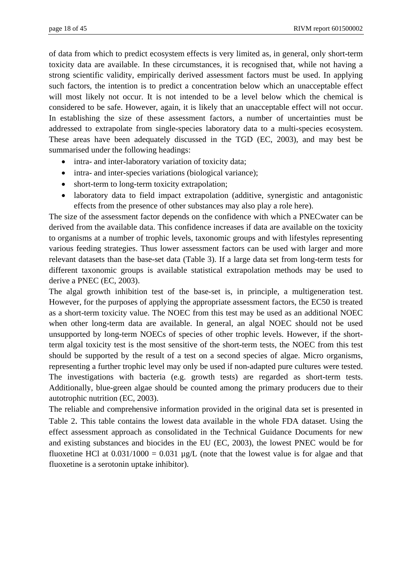of data from which to predict ecosystem effects is very limited as, in general, only short-term toxicity data are available. In these circumstances, it is recognised that, while not having a strong scientific validity, empirically derived assessment factors must be used. In applying such factors, the intention is to predict a concentration below which an unacceptable effect will most likely not occur. It is not intended to be a level below which the chemical is considered to be safe. However, again, it is likely that an unacceptable effect will not occur. In establishing the size of these assessment factors, a number of uncertainties must be addressed to extrapolate from single-species laboratory data to a multi-species ecosystem. These areas have been adequately discussed in the TGD (EC, 2003), and may best be summarised under the following headings:

- intra- and inter-laboratory variation of toxicity data;
- intra- and inter-species variations (biological variance);
- short-term to long-term toxicity extrapolation;
- laboratory data to field impact extrapolation (additive, synergistic and antagonistic effects from the presence of other substances may also play a role here).

The size of the assessment factor depends on the confidence with which a PNECwater can be derived from the available data. This confidence increases if data are available on the toxicity to organisms at a number of trophic levels, taxonomic groups and with lifestyles representing various feeding strategies. Thus lower assessment factors can be used with larger and more relevant datasets than the base-set data (Table 3). If a large data set from long-term tests for different taxonomic groups is available statistical extrapolation methods may be used to derive a PNEC (EC, 2003).

The algal growth inhibition test of the base-set is, in principle, a multigeneration test. However, for the purposes of applying the appropriate assessment factors, the EC50 is treated as a short-term toxicity value. The NOEC from this test may be used as an additional NOEC when other long-term data are available. In general, an algal NOEC should not be used unsupported by long-term NOECs of species of other trophic levels. However, if the shortterm algal toxicity test is the most sensitive of the short-term tests, the NOEC from this test should be supported by the result of a test on a second species of algae. Micro organisms, representing a further trophic level may only be used if non-adapted pure cultures were tested. The investigations with bacteria (e.g. growth tests) are regarded as short-term tests. Additionally, blue-green algae should be counted among the primary producers due to their autotrophic nutrition (EC, 2003).

The reliable and comprehensive information provided in the original data set is presented in Table 2. This table contains the lowest data available in the whole FDA dataset. Using the effect assessment approach as consolidated in the Technical Guidance Documents for new and existing substances and biocides in the EU (EC, 2003), the lowest PNEC would be for fluoxetine HCl at  $0.031/1000 = 0.031 \mu g/L$  (note that the lowest value is for algae and that fluoxetine is a serotonin uptake inhibitor).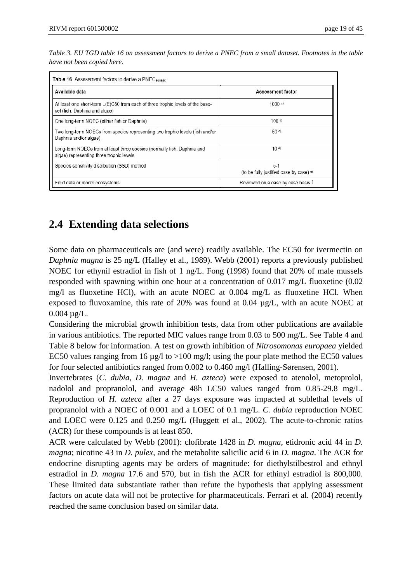| Table 3. EU TGD table 16 on assessment factors to derive a PNEC from a small dataset. Footnotes in the table |  |
|--------------------------------------------------------------------------------------------------------------|--|
| have not been copied here.                                                                                   |  |

| Available data                                                                                                      | Assessment factor                                           |
|---------------------------------------------------------------------------------------------------------------------|-------------------------------------------------------------|
| At least one short-term L(E)C50 from each of three trophic levels of the base-<br>set (fish, Daphnia and algae)     | 1000a                                                       |
| One long-term NOEC (either fish or Daphnia)                                                                         | 100 <sup>b</sup>                                            |
| Two long-term NOECs from species representing two trophic levels (fish and/or<br>Daphnia and/or algae)              | 50 <sup>°</sup>                                             |
| Long-term NOECs from at least three species (normally fish, Daphnia and<br>algae) representing three trophic levels | 10d                                                         |
| Species sensitivity distribution (SSD) method                                                                       | $5-1$<br>(to be fully justified case by case) <sup>e)</sup> |
| Field data or model ecosystems                                                                                      | Reviewed on a case by case basis <sup>f)</sup>              |

### **2.4 Extending data selections**

Some data on pharmaceuticals are (and were) readily available. The EC50 for ivermectin on *Daphnia magna* is 25 ng/L (Halley et al., 1989). Webb (2001) reports a previously published NOEC for ethynil estradiol in fish of 1 ng/L. Fong (1998) found that 20% of male mussels responded with spawning within one hour at a concentration of 0.017 mg/L fluoxetine (0.02 mg/l as fluoxetine HCl), with an acute NOEC at 0.004 mg/L as fluoxetine HCl. When exposed to fluvoxamine, this rate of 20% was found at  $0.04 \mu g/L$ , with an acute NOEC at  $0.004 \mu g/L$ .

Considering the microbial growth inhibition tests, data from other publications are available in various antibiotics. The reported MIC values range from 0.03 to 500 mg/L. See Table 4 and Table 8 below for information. A test on growth inhibition of *Nitrosomonas europaea* yielded EC50 values ranging from 16  $\mu$ g/l to >100 mg/l; using the pour plate method the EC50 values for four selected antibiotics ranged from 0.002 to 0.460 mg/l (Halling-Sørensen, 2001).

Invertebrates (*C. dubia*, *D. magna* and *H. azteca*) were exposed to atenolol, metoprolol, nadolol and propranolol, and average 48h LC50 values ranged from 0.85-29.8 mg/L. Reproduction of *H. azteca* after a 27 days exposure was impacted at sublethal levels of propranolol with a NOEC of 0.001 and a LOEC of 0.1 mg/L. *C. dubia* reproduction NOEC and LOEC were 0.125 and 0.250 mg/L (Huggett et al., 2002). The acute-to-chronic ratios (ACR) for these compounds is at least 850.

ACR were calculated by Webb (2001): clofibrate 1428 in *D. magna*, etidronic acid 44 in *D. magna*; nicotine 43 in *D. pulex*, and the metabolite salicilic acid 6 in *D. magna*. The ACR for endocrine disrupting agents may be orders of magnitude: for diethylstilbestrol and ethnyl estradiol in *D. magna* 17.6 and 570, but in fish the ACR for ethinyl estradiol is 800,000. These limited data substantiate rather than refute the hypothesis that applying assessment factors on acute data will not be protective for pharmaceuticals. Ferrari et al. (2004) recently reached the same conclusion based on similar data.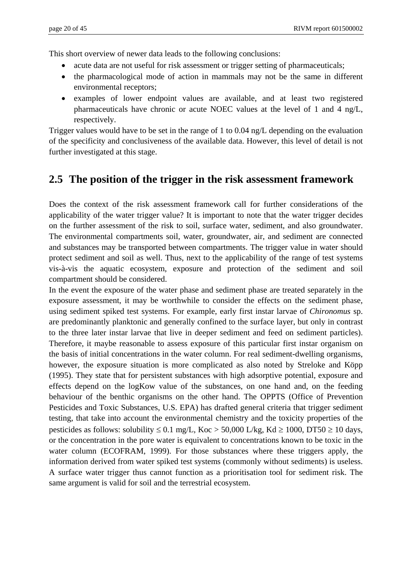This short overview of newer data leads to the following conclusions:

- acute data are not useful for risk assessment or trigger setting of pharmaceuticals;
- the pharmacological mode of action in mammals may not be the same in different environmental receptors;
- examples of lower endpoint values are available, and at least two registered pharmaceuticals have chronic or acute NOEC values at the level of 1 and 4 ng/L, respectively.

Trigger values would have to be set in the range of 1 to 0.04 ng/L depending on the evaluation of the specificity and conclusiveness of the available data. However, this level of detail is not further investigated at this stage.

### **2.5 The position of the trigger in the risk assessment framework**

Does the context of the risk assessment framework call for further considerations of the applicability of the water trigger value? It is important to note that the water trigger decides on the further assessment of the risk to soil, surface water, sediment, and also groundwater. The environmental compartments soil, water, groundwater, air, and sediment are connected and substances may be transported between compartments. The trigger value in water should protect sediment and soil as well. Thus, next to the applicability of the range of test systems vis-à-vis the aquatic ecosystem, exposure and protection of the sediment and soil compartment should be considered.

In the event the exposure of the water phase and sediment phase are treated separately in the exposure assessment, it may be worthwhile to consider the effects on the sediment phase, using sediment spiked test systems. For example, early first instar larvae of *Chironomus* sp. are predominantly planktonic and generally confined to the surface layer, but only in contrast to the three later instar larvae that live in deeper sediment and feed on sediment particles). Therefore, it maybe reasonable to assess exposure of this particular first instar organism on the basis of initial concentrations in the water column. For real sediment-dwelling organisms, however, the exposure situation is more complicated as also noted by Streloke and Köpp (1995). They state that for persistent substances with high adsorptive potential, exposure and effects depend on the logKow value of the substances, on one hand and, on the feeding behaviour of the benthic organisms on the other hand. The OPPTS (Office of Prevention Pesticides and Toxic Substances, U.S. EPA) has drafted general criteria that trigger sediment testing, that take into account the environmental chemistry and the toxicity properties of the pesticides as follows: solubility  $\leq 0.1$  mg/L, Koc > 50,000 L/kg, Kd  $\geq 1000$ , DT50  $\geq 10$  days, or the concentration in the pore water is equivalent to concentrations known to be toxic in the water column (ECOFRAM, 1999). For those substances where these triggers apply, the information derived from water spiked test systems (commonly without sediments) is useless. A surface water trigger thus cannot function as a prioritisation tool for sediment risk. The same argument is valid for soil and the terrestrial ecosystem.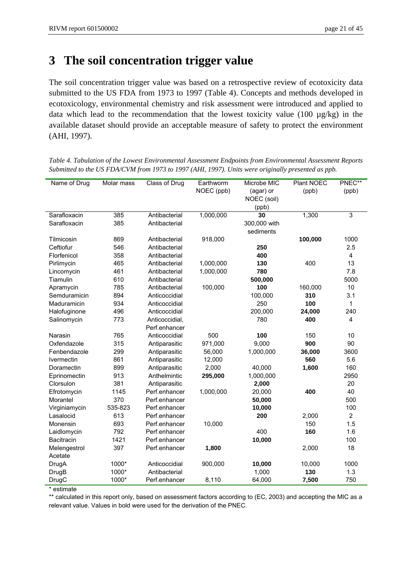# **3 The soil concentration trigger value**

The soil concentration trigger value was based on a retrospective review of ecotoxicity data submitted to the US FDA from 1973 to 1997 (Table 4). Concepts and methods developed in ecotoxicology, environmental chemistry and risk assessment were introduced and applied to data which lead to the recommendation that the lowest toxicity value (100 µg/kg) in the available dataset should provide an acceptable measure of safety to protect the environment (AHI, 1997).

| Name of Drug  | Molar mass | Class of Drug           | Earthworm | Microbe MIC  | <b>Plant NOEC</b> | PNEC**         |
|---------------|------------|-------------------------|-----------|--------------|-------------------|----------------|
|               |            | NOEC (ppb)<br>(agar) or |           | (ppb)        | (ppb)             |                |
|               |            |                         |           | NOEC (soil)  |                   |                |
|               |            |                         |           | (ppb)        |                   |                |
| Sarafloxacin  | 385        | Antibacterial           | 1,000,000 | 30           | 1,300             | 3              |
| Sarafloxacin  | 385        | Antibacterial           |           | 300,000 with |                   |                |
|               |            |                         |           | sediments    |                   |                |
| Tilmicosin    | 869        | Antibacterial           | 918,000   |              | 100,000           | 1000           |
| Ceftiofur     | 546        | Antibacterial           |           | 250          |                   | 2.5            |
| Florfenicol   | 358        | Antibacterial           |           | 400          |                   | 4              |
| Pirlimycin    | 465        | Antibacterial           | 1,000,000 | 130          | 400               | 13             |
| Lincomycin    | 461        | Antibacterial           | 1,000,000 | 780          |                   | 7.8            |
| Tiamulin      | 610        | Antibacterial           |           | 500,000      |                   | 5000           |
| Apramycin     | 785        | Antibacterial           | 100,000   | 100          | 160,000           | 10             |
| Semduramicin  | 894        | Anticoccidial           |           | 100,000      | 310               | 3.1            |
| Maduramicin   | 934        | Anticoccidial           |           | 250          | 100               | 1              |
| Halofuginone  | 496        | Anticoccidial           |           | 200,000      | 24,000            | 240            |
| Salinomycin   | 773        | Anticoccidial,          |           | 780          | 400               | 4              |
|               |            | Perf.enhancer           |           |              |                   |                |
| Narasin       | 765        | Anticoccidial           | 500       | 100          | 150               | 10             |
| Oxfendazole   | 315        | Antiparasitic           | 971,000   | 9,000        | 900               | 90             |
| Fenbendazole  | 299        | Antiparasitic           | 56,000    | 1,000,000    | 36,000            | 3600           |
| Ivermectin    | 861        | Antiparasitic           | 12,000    |              | 560               | 5.6            |
| Doramectin    | 899        | Antiparasitic           | 2,000     | 40,000       | 1,600             | 160            |
| Eprinomectin  | 913        | Anthelmintic            | 295,000   | 1,000,000    |                   | 2950           |
| Clorsulon     | 381        | Antiparasitic           |           | 2,000        |                   | 20             |
| Efrotomycin   | 1145       | Perf.enhancer           | 1,000,000 | 20,000       | 400               | 40             |
| Morantel      | 370        | Perf.enhancer           |           | 50,000       |                   | 500            |
| Virginiamycin | 535-823    | Perf.enhancer           |           | 10,000       |                   | 100            |
| Lasalocid     | 613        | Perf.enhancer           |           | 200          | 2,000             | $\overline{2}$ |
| Monensin      | 693        | Perf.enhancer           | 10,000    |              | 150               | 1.5            |
| Laidlomycin   | 792        | Perf.enhancer           |           | 400          | 160               | 1.6            |
| Bacitracin    | 1421       | Perf.enhancer           |           | 10,000       |                   | 100            |
| Melengestrol  | 397        | Perf.enhancer           | 1,800     |              | 2,000             | 18             |
| Acetate       |            |                         |           |              |                   |                |
| DrugA         | 1000*      | Anticoccidial           | 900,000   | 10,000       | 10,000            | 1000           |
| <b>DrugB</b>  | 1000*      | Antibacterial           |           | 1,000        | 130               | 1.3            |
| <b>DrugC</b>  | 1000*      | Perf.enhancer           | 8,110     | 64,000       | 7,500             | 750            |

*Table 4. Tabulation of the Lowest Environmental Assessment Endpoints from Environmental Assessment Reports Submitted to the US FDA/CVM from 1973 to 1997 (AHI, 1997). Units were originally presented as ppb.* 

\* estimate

\*\* calculated in this report only, based on assessment factors according to (EC, 2003) and accepting the MIC as a relevant value. Values in bold were used for the derivation of the PNEC.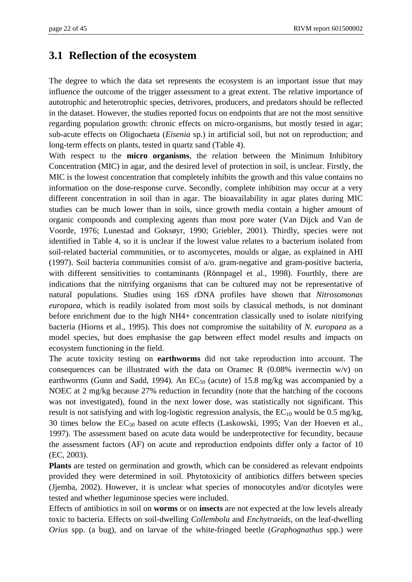### **3.1 Reflection of the ecosystem**

The degree to which the data set represents the ecosystem is an important issue that may influence the outcome of the trigger assessment to a great extent. The relative importance of autotrophic and heterotrophic species, detrivores, producers, and predators should be reflected in the dataset. However, the studies reported focus on endpoints that are not the most sensitive regarding population growth: chronic effects on micro-organisms, but mostly tested in agar; sub-acute effects on Oligochaeta (*Eisenia* sp.) in artificial soil, but not on reproduction; and long-term effects on plants, tested in quartz sand (Table 4).

With respect to the **micro organisms**, the relation between the Minimum Inhibitory Concentration (MIC) in agar, and the desired level of protection in soil, is unclear. Firstly, the MIC is the lowest concentration that completely inhibits the growth and this value contains no information on the dose-response curve. Secondly, complete inhibition may occur at a very different concentration in soil than in agar. The bioavailability in agar plates during MIC studies can be much lower than in soils, since growth media contain a higher amount of organic compounds and complexing agents than most pore water (Van Dijck and Van de Voorde, 1976; Lunestad and Goksøyr, 1990; Griebler, 2001). Thirdly, species were not identified in Table 4, so it is unclear if the lowest value relates to a bacterium isolated from soil-related bacterial communities, or to ascomycetes, moulds or algae, as explained in AHI (1997). Soil bacteria communities consist of a/o. gram-negative and gram-positive bacteria, with different sensitivities to contaminants (Rönnpagel et al., 1998). Fourthly, there are indications that the nitrifying organisms that can be cultured may not be representative of natural populations. Studies using 16S rDNA profiles have shown that *Nitrosomonas europaea*, which is readily isolated from most soils by classical methods, is not dominant before enrichment due to the high NH4+ concentration classically used to isolate nitrifying bacteria (Hiorns et al., 1995). This does not compromise the suitability of *N. europaea* as a model species, but does emphasise the gap between effect model results and impacts on ecosystem functioning in the field.

The acute toxicity testing on **earthworms** did not take reproduction into account. The consequences can be illustrated with the data on Oramec R  $(0.08\%$  ivermectin w/v) on earthworms (Gunn and Sadd, 1994). An  $EC_{50}$  (acute) of 15.8 mg/kg was accompanied by a NOEC at 2 mg/kg because 27% reduction in fecundity (note that the hatching of the cocoons was not investigated), found in the next lower dose, was statistically not significant. This result is not satisfying and with log-logistic regression analysis, the  $EC_{10}$  would be 0.5 mg/kg, 30 times below the  $EC_{50}$  based on acute effects (Laskowski, 1995; Van der Hoeven et al., 1997). The assessment based on acute data would be underprotective for fecundity, because the assessment factors (AF) on acute and reproduction endpoints differ only a factor of 10 (EC, 2003).

**Plants** are tested on germination and growth, which can be considered as relevant endpoints provided they were determined in soil. Phytotoxicity of antibiotics differs between species (Jjemba, 2002). However, it is unclear what species of monocotyles and/or dicotyles were tested and whether leguminose species were included.

Effects of antibiotics in soil on **worms** or on **insects** are not expected at the low levels already toxic to bacteria. Effects on soil-dwelling *Collembola* and *Enchytraeids*, on the leaf-dwelling *Orius* spp. (a bug), and on larvae of the white-fringed beetle (*Graphognathus* spp*.*) were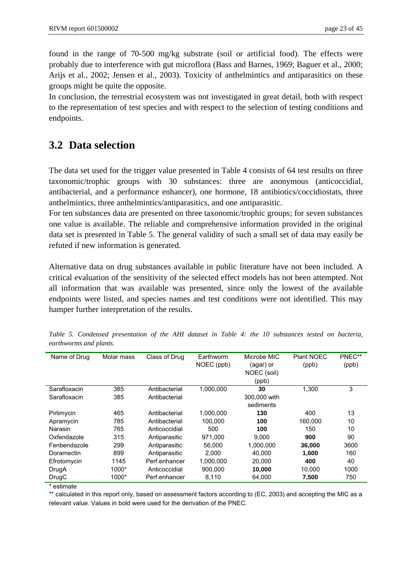found in the range of 70-500 mg/kg substrate (soil or artificial food). The effects were probably due to interference with gut microflora (Bass and Barnes, 1969; Baguer et al., 2000; Arijs et al., 2002; Jensen et al., 2003). Toxicity of anthelmintics and antiparasitics on these groups might be quite the opposite.

In conclusion, the terrestrial ecosystem was not investigated in great detail, both with respect to the representation of test species and with respect to the selection of testing conditions and endpoints.

### **3.2 Data selection**

The data set used for the trigger value presented in Table 4 consists of 64 test results on three taxonomic/trophic groups with 30 substances: three are anonymous (anticoccidial, antibacterial, and a performance enhancer), one hormone, 18 antibiotics/coccidiostats, three anthelmintics, three anthelmintics/antiparasitics, and one antiparasitic.

For ten substances data are presented on three taxonomic/trophic groups; for seven substances one value is available. The reliable and comprehensive information provided in the original data set is presented in Table 5. The general validity of such a small set of data may easily be refuted if new information is generated.

Alternative data on drug substances available in public literature have not been included. A critical evaluation of the sensitivity of the selected effect models has not been attempted. Not all information that was available was presented, since only the lowest of the available endpoints were listed, and species names and test conditions were not identified. This may hamper further interpretation of the results.

| Name of Drug | Molar mass | Class of Drug | Earthworm  | Microbe MIC  | <b>Plant NOEC</b> | PNEC** |
|--------------|------------|---------------|------------|--------------|-------------------|--------|
|              |            |               | NOEC (ppb) | (agar) or    | (ppb)             | (ppb)  |
|              |            |               |            | NOEC (soil)  |                   |        |
|              |            |               |            | (ppb)        |                   |        |
| Sarafloxacin | 385        | Antibacterial | 1,000,000  | 30           | 1.300             | 3      |
| Sarafloxacin | 385        | Antibacterial |            | 300,000 with |                   |        |
|              |            |               |            | sediments    |                   |        |
| Pirlimycin   | 465        | Antibacterial | 1,000,000  | 130          | 400               | 13     |
| Apramycin    | 785        | Antibacterial | 100.000    | 100          | 160.000           | 10     |
| Narasin      | 765        | Anticoccidial | 500        | 100          | 150               | 10     |
| Oxfendazole  | 315        | Antiparasitic | 971.000    | 9.000        | 900               | 90     |
| Fenbendazole | 299        | Antiparasitic | 56,000     | 1,000,000    | 36,000            | 3600   |
| Doramectin   | 899        | Antiparasitic | 2.000      | 40.000       | 1.600             | 160    |
| Efrotomycin  | 1145       | Perf.enhancer | 1,000,000  | 20,000       | 400               | 40     |
| DrugA        | 1000*      | Anticoccidial | 900.000    | 10,000       | 10.000            | 1000   |
| DrugC        | 1000*      | Perf.enhancer | 8,110      | 64.000       | 7,500             | 750    |

*Table 5. Condensed presentation of the AHI dataset in Table 4: the 10 substances tested on bacteria, earthworms and plants.* 

\* estimate

\*\* calculated in this report only, based on assessment factors according to (EC, 2003) and accepting the MIC as a relevant value. Values in bold were used for the derivation of the PNEC.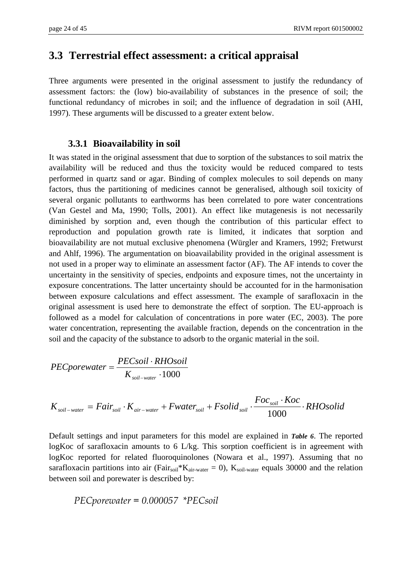#### **3.3 Terrestrial effect assessment: a critical appraisal**

Three arguments were presented in the original assessment to justify the redundancy of assessment factors: the (low) bio-availability of substances in the presence of soil; the functional redundancy of microbes in soil; and the influence of degradation in soil (AHI, 1997). These arguments will be discussed to a greater extent below.

#### **3.3.1 Bioavailability in soil**

It was stated in the original assessment that due to sorption of the substances to soil matrix the availability will be reduced and thus the toxicity would be reduced compared to tests performed in quartz sand or agar. Binding of complex molecules to soil depends on many factors, thus the partitioning of medicines cannot be generalised, although soil toxicity of several organic pollutants to earthworms has been correlated to pore water concentrations (Van Gestel and Ma, 1990; Tolls, 2001). An effect like mutagenesis is not necessarily diminished by sorption and, even though the contribution of this particular effect to reproduction and population growth rate is limited, it indicates that sorption and bioavailability are not mutual exclusive phenomena (Würgler and Kramers, 1992; Fretwurst and Ahlf, 1996). The argumentation on bioavailability provided in the original assessment is not used in a proper way to eliminate an assessment factor (AF). The AF intends to cover the uncertainty in the sensitivity of species, endpoints and exposure times, not the uncertainty in exposure concentrations. The latter uncertainty should be accounted for in the harmonisation between exposure calculations and effect assessment. The example of sarafloxacin in the original assessment is used here to demonstrate the effect of sorption. The EU-approach is followed as a model for calculation of concentrations in pore water (EC, 2003). The pore water concentration, representing the available fraction, depends on the concentration in the soil and the capacity of the substance to adsorb to the organic material in the soil.

$$
PECporewater = \frac{PECsoil \cdot RHOsoil}{K_{soil-water} \cdot 1000}
$$

$$
K_{\text{soil-water}} = Fair_{\text{soil}} \cdot K_{\text{air-water}} + Fwater_{\text{soil}} + Fsolid_{\text{soil}} \cdot \frac{Foc_{\text{soil}} \cdot Koc}{1000} \cdot RHO \cdot RHO
$$

Default settings and input parameters for this model are explained in *Table 6*. The reported logKoc of sarafloxacin amounts to 6 L/kg. This sorption coefficient is in agreement with logKoc reported for related fluoroquinolones (Nowara et al., 1997). Assuming that no sarafloxacin partitions into air (Fair<sub>soil</sub>\*K<sub>air-water</sub> = 0), K<sub>soil-water</sub> equals 30000 and the relation between soil and porewater is described by:

$$
PEC\nperwater = 0.000057 \, \text{P}\text{F}\text{C}\text{soil}
$$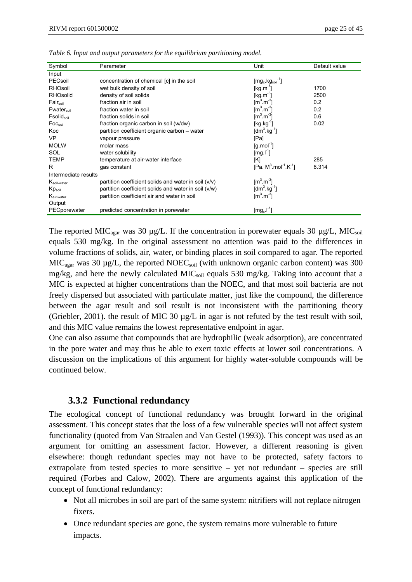| Symbol                    | Parameter                                              | Unit                                      | Default value |
|---------------------------|--------------------------------------------------------|-------------------------------------------|---------------|
| Input                     |                                                        |                                           |               |
| PECsoil                   | concentration of chemical [c] in the soil              | $[mg_c \, kg_{sol}]$                      |               |
| RHOsoil                   | wet bulk density of soil                               | [kg m <sup>-3</sup> ]                     | 1700          |
| <b>RHOsolid</b>           | density of soil solids                                 | $[kg.m^3]$                                | 2500          |
| Fair <sub>soil</sub>      | fraction air in soil                                   | $\text{[m}^3 \text{.m}^3$                 | 0.2           |
| Fwater <sub>soil</sub>    | fraction water in soil                                 | $\left[\text{m}^3 \text{ m}^3\right]$     | 0.2           |
| $F$ solid $_{\text{sol}}$ | fraction solids in soil                                | $[m^3.m^3]$                               | 0.6           |
| Foc <sub>soil</sub>       | fraction organic carbon in soil (w/dw)                 | [kg kg $^1$ ]                             | 0.02          |
| Koc                       | partition coefficient organic carbon - water           | [dm <sup>3</sup> .kg <sup>-1</sup> ]      |               |
| <b>VP</b>                 | vapour pressure                                        | [Pa]                                      |               |
| <b>MOLW</b>               | molar mass                                             | $\left[\text{q} \ldots \text{mol}\right]$ |               |
| SOL                       | water solubility                                       | [mg.l <sup>-1</sup> ]                     |               |
| TEMP                      | temperature at air-water interface                     | [K]                                       | 285           |
| R                         | gas constant                                           | $[Pa. M3 mol-1 K-1]$                      | 8.314         |
| Intermediate results      |                                                        |                                           |               |
| $K_{\text{soil-water}}$   | partition coefficient solids and water in soil $(v/v)$ | $\lceil m^3 \rceil$                       |               |
| $Kp_{\text{soil}}$        | partition coefficient solids and water in soil (v/w)   | [dm <sup>3</sup> .kg <sup>-1</sup> ]      |               |
| $K_{\text{air-water}}$    | partition coefficient air and water in soil            | $\text{[m}^3 \text{.m}^3$                 |               |
| Output                    |                                                        |                                           |               |
| PECporewater              | predicted concentration in porewater                   | $[mg_c.l^1]$                              |               |

*Table 6. Input and output parameters for the equilibrium partitioning model.* 

The reported MIC<sub>agar</sub> was 30  $\mu$ g/L. If the concentration in porewater equals 30  $\mu$ g/L, MIC<sub>soil</sub> equals 530 mg/kg. In the original assessment no attention was paid to the differences in volume fractions of solids, air, water, or binding places in soil compared to agar. The reported  $MIC<sub>agar</sub> was 30 µg/L, the reported NOEC<sub>soil</sub> (with unknown organic carbon content) was 300$ mg/kg, and here the newly calculated  $MIC<sub>soil</sub>$  equals 530 mg/kg. Taking into account that a MIC is expected at higher concentrations than the NOEC, and that most soil bacteria are not freely dispersed but associated with particulate matter, just like the compound, the difference between the agar result and soil result is not inconsistent with the partitioning theory (Griebler, 2001). the result of MIC 30 µg/L in agar is not refuted by the test result with soil, and this MIC value remains the lowest representative endpoint in agar.

One can also assume that compounds that are hydrophilic (weak adsorption), are concentrated in the pore water and may thus be able to exert toxic effects at lower soil concentrations. A discussion on the implications of this argument for highly water-soluble compounds will be continued below.

#### **3.3.2 Functional redundancy**

The ecological concept of functional redundancy was brought forward in the original assessment. This concept states that the loss of a few vulnerable species will not affect system functionality (quoted from Van Straalen and Van Gestel (1993)). This concept was used as an argument for omitting an assessment factor. However, a different reasoning is given elsewhere: though redundant species may not have to be protected, safety factors to extrapolate from tested species to more sensitive – yet not redundant – species are still required (Forbes and Calow, 2002). There are arguments against this application of the concept of functional redundancy:

- Not all microbes in soil are part of the same system: nitrifiers will not replace nitrogen fixers.
- Once redundant species are gone, the system remains more vulnerable to future impacts.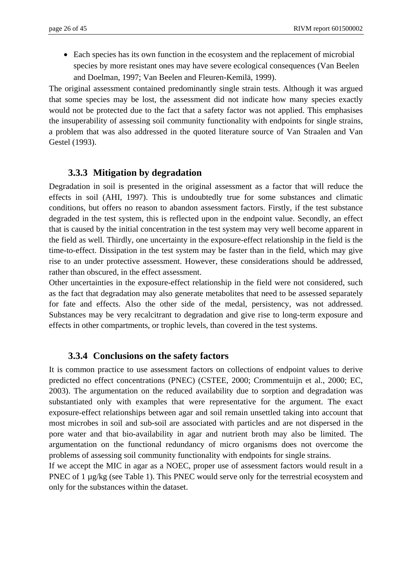• Each species has its own function in the ecosystem and the replacement of microbial species by more resistant ones may have severe ecological consequences (Van Beelen and Doelman, 1997; Van Beelen and Fleuren-Kemilä, 1999).

The original assessment contained predominantly single strain tests. Although it was argued that some species may be lost, the assessment did not indicate how many species exactly would not be protected due to the fact that a safety factor was not applied. This emphasises the insuperability of assessing soil community functionality with endpoints for single strains, a problem that was also addressed in the quoted literature source of Van Straalen and Van Gestel (1993).

#### **3.3.3 Mitigation by degradation**

Degradation in soil is presented in the original assessment as a factor that will reduce the effects in soil (AHI, 1997). This is undoubtedly true for some substances and climatic conditions, but offers no reason to abandon assessment factors. Firstly, if the test substance degraded in the test system, this is reflected upon in the endpoint value. Secondly, an effect that is caused by the initial concentration in the test system may very well become apparent in the field as well. Thirdly, one uncertainty in the exposure-effect relationship in the field is the time-to-effect. Dissipation in the test system may be faster than in the field, which may give rise to an under protective assessment. However, these considerations should be addressed, rather than obscured, in the effect assessment.

Other uncertainties in the exposure-effect relationship in the field were not considered, such as the fact that degradation may also generate metabolites that need to be assessed separately for fate and effects. Also the other side of the medal, persistency, was not addressed. Substances may be very recalcitrant to degradation and give rise to long-term exposure and effects in other compartments, or trophic levels, than covered in the test systems.

#### **3.3.4 Conclusions on the safety factors**

It is common practice to use assessment factors on collections of endpoint values to derive predicted no effect concentrations (PNEC) (CSTEE, 2000; Crommentuijn et al., 2000; EC, 2003). The argumentation on the reduced availability due to sorption and degradation was substantiated only with examples that were representative for the argument. The exact exposure-effect relationships between agar and soil remain unsettled taking into account that most microbes in soil and sub-soil are associated with particles and are not dispersed in the pore water and that bio-availability in agar and nutrient broth may also be limited. The argumentation on the functional redundancy of micro organisms does not overcome the problems of assessing soil community functionality with endpoints for single strains.

If we accept the MIC in agar as a NOEC, proper use of assessment factors would result in a PNEC of 1  $\mu$ g/kg (see Table 1). This PNEC would serve only for the terrestrial ecosystem and only for the substances within the dataset.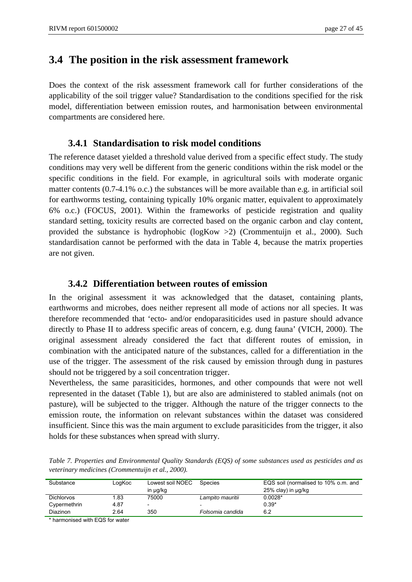### **3.4 The position in the risk assessment framework**

Does the context of the risk assessment framework call for further considerations of the applicability of the soil trigger value? Standardisation to the conditions specified for the risk model, differentiation between emission routes, and harmonisation between environmental compartments are considered here.

#### **3.4.1 Standardisation to risk model conditions**

The reference dataset yielded a threshold value derived from a specific effect study. The study conditions may very well be different from the generic conditions within the risk model or the specific conditions in the field. For example, in agricultural soils with moderate organic matter contents (0.7-4.1% o.c.) the substances will be more available than e.g. in artificial soil for earthworms testing, containing typically 10% organic matter, equivalent to approximately 6% o.c.) (FOCUS, 2001). Within the frameworks of pesticide registration and quality standard setting, toxicity results are corrected based on the organic carbon and clay content, provided the substance is hydrophobic (logKow >2) (Crommentuijn et al., 2000). Such standardisation cannot be performed with the data in Table 4, because the matrix properties are not given.

#### **3.4.2 Differentiation between routes of emission**

In the original assessment it was acknowledged that the dataset, containing plants, earthworms and microbes, does neither represent all mode of actions nor all species. It was therefore recommended that 'ecto- and/or endoparasiticides used in pasture should advance directly to Phase II to address specific areas of concern, e.g. dung fauna' (VICH, 2000). The original assessment already considered the fact that different routes of emission, in combination with the anticipated nature of the substances, called for a differentiation in the use of the trigger. The assessment of the risk caused by emission through dung in pastures should not be triggered by a soil concentration trigger.

Nevertheless, the same parasiticides, hormones, and other compounds that were not well represented in the dataset (Table 1), but are also are administered to stabled animals (not on pasture), will be subjected to the trigger. Although the nature of the trigger connects to the emission route, the information on relevant substances within the dataset was considered insufficient. Since this was the main argument to exclude parasiticides from the trigger, it also holds for these substances when spread with slurry.

| Table 7. Properties and Environmental Quality Standards (EQS) of some substances used as pesticides and as |  |  |  |
|------------------------------------------------------------------------------------------------------------|--|--|--|
| veterinary medicines (Crommentuijn et al., 2000).                                                          |  |  |  |

| Substance         | LogKoc | Lowest soil NOEC<br>in µg/kg | <b>Species</b>           | EQS soil (normalised to 10% o.m. and<br>25% clay) in µg/kg |  |  |  |  |
|-------------------|--------|------------------------------|--------------------------|------------------------------------------------------------|--|--|--|--|
| <b>Dichlorvos</b> | 1.83   | 75000                        | Lampito mauritii         | $0.0028*$                                                  |  |  |  |  |
| Cypermethrin      | 4.87   | -                            | $\overline{\phantom{0}}$ | $0.39*$                                                    |  |  |  |  |
| Diazinon          | 2.64   | 350                          | Folsomia candida         | 6.2                                                        |  |  |  |  |

\* harmonised with EQS for water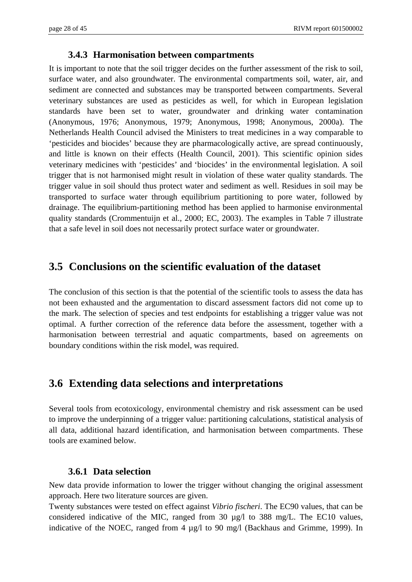#### **3.4.3 Harmonisation between compartments**

It is important to note that the soil trigger decides on the further assessment of the risk to soil, surface water, and also groundwater. The environmental compartments soil, water, air, and sediment are connected and substances may be transported between compartments. Several veterinary substances are used as pesticides as well, for which in European legislation standards have been set to water, groundwater and drinking water contamination (Anonymous, 1976; Anonymous, 1979; Anonymous, 1998; Anonymous, 2000a). The Netherlands Health Council advised the Ministers to treat medicines in a way comparable to 'pesticides and biocides' because they are pharmacologically active, are spread continuously, and little is known on their effects (Health Council, 2001). This scientific opinion sides veterinary medicines with 'pesticides' and 'biocides' in the environmental legislation. A soil trigger that is not harmonised might result in violation of these water quality standards. The trigger value in soil should thus protect water and sediment as well. Residues in soil may be transported to surface water through equilibrium partitioning to pore water, followed by drainage. The equilibrium-partitioning method has been applied to harmonise environmental quality standards (Crommentuijn et al., 2000; EC, 2003). The examples in Table 7 illustrate that a safe level in soil does not necessarily protect surface water or groundwater.

### **3.5 Conclusions on the scientific evaluation of the dataset**

The conclusion of this section is that the potential of the scientific tools to assess the data has not been exhausted and the argumentation to discard assessment factors did not come up to the mark. The selection of species and test endpoints for establishing a trigger value was not optimal. A further correction of the reference data before the assessment, together with a harmonisation between terrestrial and aquatic compartments, based on agreements on boundary conditions within the risk model, was required.

#### **3.6 Extending data selections and interpretations**

Several tools from ecotoxicology, environmental chemistry and risk assessment can be used to improve the underpinning of a trigger value: partitioning calculations, statistical analysis of all data, additional hazard identification, and harmonisation between compartments. These tools are examined below.

#### **3.6.1 Data selection**

New data provide information to lower the trigger without changing the original assessment approach. Here two literature sources are given.

Twenty substances were tested on effect against *Vibrio fischeri*. The EC90 values, that can be considered indicative of the MIC, ranged from 30 µg/l to 388 mg/L. The EC10 values, indicative of the NOEC, ranged from 4 µg/l to 90 mg/l (Backhaus and Grimme, 1999). In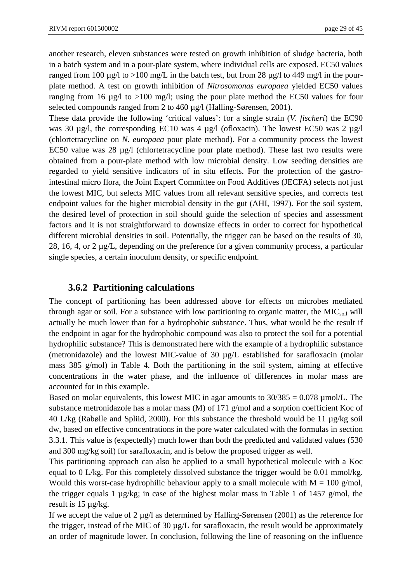another research, eleven substances were tested on growth inhibition of sludge bacteria, both in a batch system and in a pour-plate system, where individual cells are exposed. EC50 values ranged from 100  $\mu$ g/l to >100 mg/L in the batch test, but from 28  $\mu$ g/l to 449 mg/l in the pourplate method. A test on growth inhibition of *Nitrosomonas europaea* yielded EC50 values ranging from 16  $\mu$ g/l to >100 mg/l; using the pour plate method the EC50 values for four selected compounds ranged from 2 to 460 µg/l (Halling-Sørensen, 2001).

These data provide the following 'critical values': for a single strain (*V. fischeri*) the EC90 was 30 µg/l, the corresponding EC10 was 4 µg/l (ofloxacin). The lowest EC50 was 2 µg/l (chlortetracycline on *N. europaea* pour plate method). For a community process the lowest EC50 value was 28  $\mu$ g/l (chlortetracycline pour plate method). These last two results were obtained from a pour-plate method with low microbial density. Low seeding densities are regarded to yield sensitive indicators of in situ effects. For the protection of the gastrointestinal micro flora, the Joint Expert Committee on Food Additives (JECFA) selects not just the lowest MIC, but selects MIC values from all relevant sensitive species, and corrects test endpoint values for the higher microbial density in the gut (AHI, 1997). For the soil system, the desired level of protection in soil should guide the selection of species and assessment factors and it is not straightforward to downsize effects in order to correct for hypothetical different microbial densities in soil. Potentially, the trigger can be based on the results of 30, 28, 16, 4, or 2  $\mu$ g/L, depending on the preference for a given community process, a particular single species, a certain inoculum density, or specific endpoint.

#### **3.6.2 Partitioning calculations**

The concept of partitioning has been addressed above for effects on microbes mediated through agar or soil. For a substance with low partitioning to organic matter, the  $MIC<sub>soil</sub>$  will actually be much lower than for a hydrophobic substance. Thus, what would be the result if the endpoint in agar for the hydrophobic compound was also to protect the soil for a potential hydrophilic substance? This is demonstrated here with the example of a hydrophilic substance (metronidazole) and the lowest MIC-value of 30 µg/L established for sarafloxacin (molar mass 385 g/mol) in Table 4. Both the partitioning in the soil system, aiming at effective concentrations in the water phase, and the influence of differences in molar mass are accounted for in this example.

Based on molar equivalents, this lowest MIC in agar amounts to  $30/385 = 0.078 \,\mu\text{mol/L}$ . The substance metronidazole has a molar mass (M) of 171 g/mol and a sorption coefficient Koc of 40 L/kg (Rabølle and Spliid, 2000). For this substance the threshold would be 11 µg/kg soil dw, based on effective concentrations in the pore water calculated with the formulas in section 3.3.1. This value is (expectedly) much lower than both the predicted and validated values (530 and 300 mg/kg soil) for sarafloxacin, and is below the proposed trigger as well.

This partitioning approach can also be applied to a small hypothetical molecule with a Koc equal to  $0$  L/kg. For this completely dissolved substance the trigger would be 0.01 mmol/kg. Would this worst-case hydrophilic behaviour apply to a small molecule with  $M = 100$  g/mol, the trigger equals 1  $\mu$ g/kg; in case of the highest molar mass in Table 1 of 1457 g/mol, the result is 15 µg/kg.

If we accept the value of  $2 \mu g/l$  as determined by Halling-Sørensen (2001) as the reference for the trigger, instead of the MIC of 30 µg/L for sarafloxacin, the result would be approximately an order of magnitude lower. In conclusion, following the line of reasoning on the influence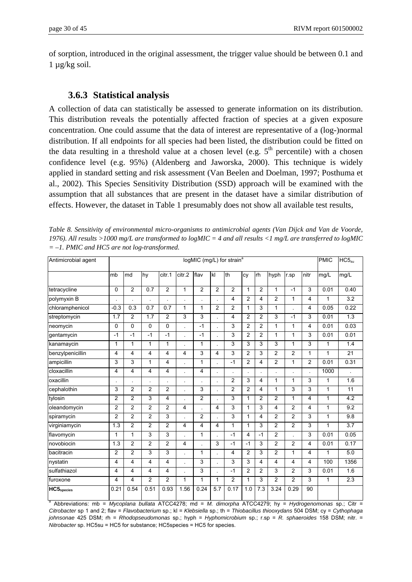of sorption, introduced in the original assessment, the trigger value should be between 0.1 and 1 µg/kg soil.

#### **3.6.3 Statistical analysis**

A collection of data can statistically be assessed to generate information on its distribution. This distribution reveals the potentially affected fraction of species at a given exposure concentration. One could assume that the data of interest are representative of a (log-)normal distribution. If all endpoints for all species had been listed, the distribution could be fitted on the data resulting in a threshold value at a chosen level (e.g.  $5<sup>th</sup>$  percentile) with a chosen confidence level (e.g. 95%) (Aldenberg and Jaworska, 2000). This technique is widely applied in standard setting and risk assessment (Van Beelen and Doelman, 1997; Posthuma et al., 2002). This Species Sensitivity Distribution (SSD) approach will be examined with the assumption that all substances that are present in the dataset have a similar distribution of effects. However, the dataset in Table 1 presumably does not show all available test results,

| Antimicrobial agent        | logMIC (mg/L) for strain <sup>a</sup> |                         |                  |                         |                         |                         |                | <b>PMIC</b>    | $HC5_{su}$     |                |                |                |                 |              |                  |
|----------------------------|---------------------------------------|-------------------------|------------------|-------------------------|-------------------------|-------------------------|----------------|----------------|----------------|----------------|----------------|----------------|-----------------|--------------|------------------|
|                            | mb                                    | md                      | hy               | citr.1                  | citr.2                  | flav                    | kl             | th             | cy             | rh             | hyph           | r.sp           | nitr            | mg/L         | mg/L             |
| tetracycline               | 0                                     | $\overline{2}$          | 0.7              | $\overline{c}$          | 1                       | $\overline{2}$          | $\overline{2}$ | $\overline{c}$ | $\mathbf{1}$   | $\overline{2}$ | 1              | $-1$           | 3               | 0.01         | 0.40             |
| polymyxin B                |                                       |                         |                  |                         |                         |                         |                | 4              | $\overline{2}$ | 4              | $\overline{2}$ | $\mathbf{1}$   | $\overline{4}$  | 1            | 3.2              |
| chloramphenicol            | $-0.3$                                | 0.3                     | $\overline{0.7}$ | $\overline{0.7}$        | 1                       | $\mathbf{1}$            | $\overline{2}$ | $\overline{2}$ | $\mathbf{1}$   | $\overline{3}$ | $\overline{1}$ |                | 4               | 0.05         | 0.22             |
| streptomycin               | 1.7                                   | $\overline{2}$          | 1.7              | $\overline{c}$          | 3                       | $\overline{3}$          |                | 4              | $\overline{2}$ | $\overline{2}$ | 3              | $-1$           | 3               | 0.01         | $\overline{1.3}$ |
| neomycin                   | 0                                     | 0                       | 0                | 0                       |                         | $-1$                    |                | 3              | 2              | $\overline{2}$ | 1              | 1              | 4               | 0.01         | 0.03             |
| gentamycin                 | $-1$                                  | $-1$                    | $-1$             | $-1$                    | l.                      | $-1$                    |                | 3              | $\overline{2}$ | $\overline{2}$ | 1              | 1              | 3               | 0.01         | 0.01             |
| kanamaycin                 | $\mathbf{1}$                          | $\mathbf{1}$            | $\mathbf{1}$     | $\mathbf{1}$            |                         | $\mathbf{1}$            |                | 3              | 3              | 3              | 3              | $\mathbf{1}$   | 3               | $\mathbf{1}$ | 1.4              |
| benzylpenicillin           | 4                                     | 4                       | $\overline{4}$   | $\overline{\mathbf{4}}$ | $\overline{\mathbf{4}}$ | 3                       | 4              | 3              | $\overline{2}$ | 3              | $\overline{2}$ | $\overline{2}$ | $\mathbf{1}$    | $\mathbf{1}$ | $\overline{21}$  |
| ampicillin                 | 3                                     | 3                       | $\mathbf{1}$     | $\overline{\mathbf{4}}$ |                         | $\mathbf{1}$            |                | $-1$           | $\overline{2}$ | 4              | $\overline{2}$ | $\mathbf{1}$   | $\overline{2}$  | 0.01         | 0.31             |
| cloxacillin                | 4                                     | $\overline{\mathbf{4}}$ | $\overline{4}$   | 4                       |                         | $\overline{\mathbf{4}}$ |                |                |                |                |                |                |                 | 1000         |                  |
| oxacillin                  | $\blacksquare$                        |                         |                  |                         |                         |                         |                | 2              | 3              | $\overline{4}$ | 1              | $\mathbf{1}$   | 3               | $\mathbf{1}$ | 1.6              |
| cephalothin                | $\overline{3}$                        | $\overline{2}$          | $\overline{2}$   | $\overline{c}$          |                         | $\overline{3}$          |                | $\overline{2}$ | $\overline{c}$ | $\overline{4}$ | 1              | 3              | $\overline{3}$  | $\mathbf{1}$ | 11               |
| tylosin                    | $\overline{c}$                        | $\overline{2}$          | $\overline{3}$   | 4                       |                         | $\overline{2}$          |                | 3              | $\mathbf{1}$   | $\overline{2}$ | $\overline{2}$ | $\mathbf{1}$   | 4               | $\mathbf{1}$ | 4.2              |
| oleandomycin               | $\overline{c}$                        | $\overline{2}$          | $\overline{c}$   | $\overline{c}$          | 4                       |                         | 4              | 3              | $\mathbf{1}$   | 3              | 4              | $\overline{2}$ | 4               | $\mathbf{1}$ | 9.2              |
| spiramycin                 | $\overline{c}$                        | $\overline{2}$          | $\overline{c}$   | 3                       |                         | $\overline{2}$          |                | 3              | 1              | 4              | $\overline{c}$ | $\overline{c}$ | 3               | $\mathbf{1}$ | 9.8              |
| virginiamycin              | 1.3                                   | $\overline{c}$          | $\overline{2}$   | $\overline{\mathbf{c}}$ | 4                       | 4                       | 4              | 1              | $\mathbf{1}$   | 3              | $\overline{c}$ | $\overline{c}$ | 3               | 1            | 3.7              |
| flavomycin                 | $\mathbf{1}$                          | $\mathbf{1}$            | $\mathfrak{S}$   | 3                       |                         | $\mathbf{1}$            |                | $-1$           | 4              | $-1$           | $\overline{2}$ |                | 3               | 0.01         | 0.05             |
| novobiocin                 | 1.3                                   | $\overline{2}$          | $\overline{2}$   | $\overline{2}$          | 4                       |                         | 3              | $-1$           | $-1$           | 3              | $\overline{2}$ | $\overline{2}$ | $\overline{4}$  | 0.01         | 0.17             |
| bacitracin                 | $\overline{2}$                        | $\overline{2}$          | 3                | 3                       |                         | $\mathbf{1}$            |                | 4              | $\overline{2}$ | $\overline{3}$ | $\overline{2}$ | 1              | 4               | 1            | 5.0              |
| nystatin                   | 4                                     | 4                       | $\overline{4}$   | 4                       |                         | 3                       | l.             | 3              | 3              | $\overline{4}$ | 4              | 4              | 4               | 100          | 1356             |
| sulfathiazol               | 4                                     | 4                       | 4                | 4                       |                         | 3                       |                | $-1$           | $\overline{2}$ | $\overline{2}$ | 3              | 2              | 3               | 0.01         | 1.6              |
| furoxone                   | 4                                     | 4                       | 2                | $\overline{2}$          | 1                       | $\mathbf{1}$            | 1              | $\overline{2}$ | $\mathbf{1}$   | 3              | $\overline{2}$ | $\overline{2}$ | 3               | $\mathbf{1}$ | 2.3              |
| $\overline{HC5}_{species}$ | 0.21                                  | 0.54                    | 0.51             | 0.93                    | 1.56                    | 0.24                    | 5.7            | 0.17           | 1.0            | 7.3            | 3.24           | 0.29           | $\overline{90}$ |              |                  |

*Table 8. Sensitivity of environmental micro-organisms to antimicrobial agents (Van Dijck and Van de Voorde, 1976). All results >1000 mg/L are transformed to logMIC = 4 and all results <1 mg/L are transferred to logMIC = –1. PMIC and HC5 are not log-transformed.* 

a Abbreviations: mb = *Mycoplana bullata* ATCC4278; md = *M. dimorpha* ATCC4279; hy = *Hydrogenomonas* sp.; Citr = *Citrobacter* sp 1 and 2; flav = *Flavobacterium* sp.; kl = *Klebsiella* sp.; th = *Thiobacillus thiooxydans* 504 DSM; cy = *Cythophaga johnsonae* 425 DSM; rh = *Rhodopseudomonas* sp.; hyph = *Hyphomicrobium* sp.; r.sp = *R. sphaeroides* 158 DSM; nitr. = *Nitrobacter* sp. HC5su = HC5 for substance; HC5species = HC5 for species.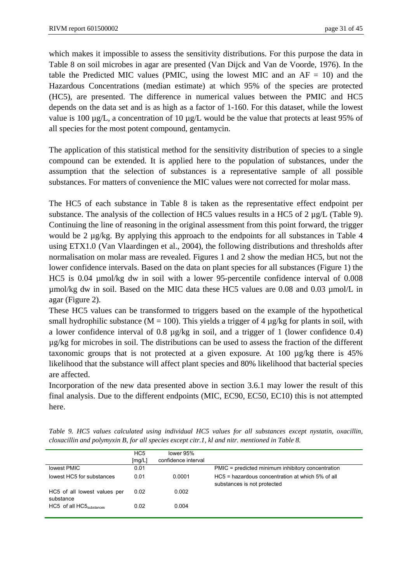which makes it impossible to assess the sensitivity distributions. For this purpose the data in Table 8 on soil microbes in agar are presented (Van Dijck and Van de Voorde, 1976). In the table the Predicted MIC values (PMIC, using the lowest MIC and an  $AF = 10$ ) and the Hazardous Concentrations (median estimate) at which 95% of the species are protected (HC5), are presented. The difference in numerical values between the PMIC and HC5 depends on the data set and is as high as a factor of 1-160. For this dataset, while the lowest value is 100  $\mu$ g/L, a concentration of 10  $\mu$ g/L would be the value that protects at least 95% of all species for the most potent compound, gentamycin.

The application of this statistical method for the sensitivity distribution of species to a single compound can be extended. It is applied here to the population of substances, under the assumption that the selection of substances is a representative sample of all possible substances. For matters of convenience the MIC values were not corrected for molar mass.

The HC5 of each substance in Table 8 is taken as the representative effect endpoint per substance. The analysis of the collection of HC5 values results in a HC5 of 2  $\mu$ g/L (Table 9). Continuing the line of reasoning in the original assessment from this point forward, the trigger would be 2 µg/kg. By applying this approach to the endpoints for all substances in Table 4 using ETX1.0 (Van Vlaardingen et al., 2004), the following distributions and thresholds after normalisation on molar mass are revealed. Figures 1 and 2 show the median HC5, but not the lower confidence intervals. Based on the data on plant species for all substances (Figure 1) the HC5 is 0.04 µmol/kg dw in soil with a lower 95-percentile confidence interval of 0.008  $\mu$ mol/kg dw in soil. Based on the MIC data these HC5 values are 0.08 and 0.03  $\mu$ mol/L in agar (Figure 2).

These HC5 values can be transformed to triggers based on the example of the hypothetical small hydrophilic substance ( $M = 100$ ). This yields a trigger of 4  $\mu$ g/kg for plants in soil, with a lower confidence interval of 0.8 µg/kg in soil, and a trigger of 1 (lower confidence 0.4) µg/kg for microbes in soil. The distributions can be used to assess the fraction of the different taxonomic groups that is not protected at a given exposure. At 100 µg/kg there is 45% likelihood that the substance will affect plant species and 80% likelihood that bacterial species are affected.

Incorporation of the new data presented above in section 3.6.1 may lower the result of this final analysis. Due to the different endpoints (MIC, EC90, EC50, EC10) this is not attempted here.

*Table 9. HC5 values calculated using individual HC5 values for all substances except nystatin, oxacillin, cloxacillin and polymyxin B, for all species except citr.1, kl and nitr. mentioned in Table 8.* 

|                                           | HC <sub>5</sub> | lower 95%           |                                                                                 |
|-------------------------------------------|-----------------|---------------------|---------------------------------------------------------------------------------|
|                                           | [mg/L]          | confidence interval |                                                                                 |
| lowest PMIC                               | 0.01            |                     | PMIC = predicted minimum inhibitory concentration                               |
| lowest HC5 for substances                 | 0.01            | 0.0001              | HC5 = hazardous concentration at which 5% of all<br>substances is not protected |
| HC5 of all lowest values per<br>substance | 0.02            | 0.002               |                                                                                 |
| HC5 of all HC5 <sub>substances</sub>      | 0.02            | 0.004               |                                                                                 |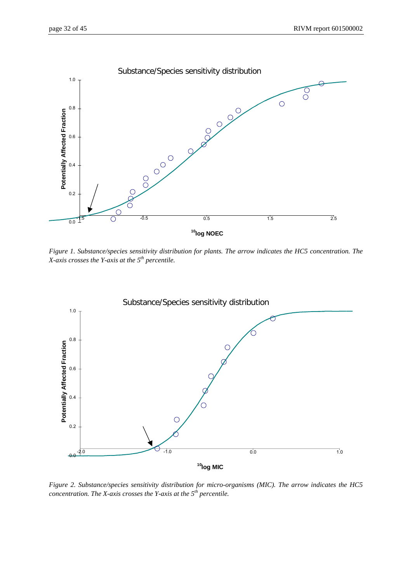

*Figure 1. Substance/species sensitivity distribution for plants. The arrow indicates the HC5 concentration. The X-axis crosses the Y-axis at the 5th percentile.* 



*Figure 2. Substance/species sensitivity distribution for micro-organisms (MIC). The arrow indicates the HC5 concentration. The X-axis crosses the Y-axis at the 5th percentile.*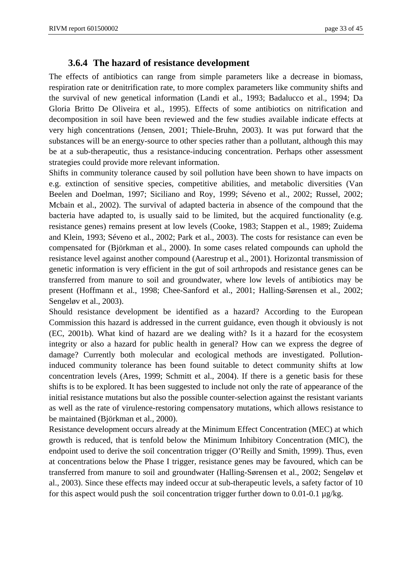#### **3.6.4 The hazard of resistance development**

The effects of antibiotics can range from simple parameters like a decrease in biomass, respiration rate or denitrification rate, to more complex parameters like community shifts and the survival of new genetical information (Landi et al., 1993; Badalucco et al., 1994; Da Gloria Britto De Oliveira et al., 1995). Effects of some antibiotics on nitrification and decomposition in soil have been reviewed and the few studies available indicate effects at very high concentrations (Jensen, 2001; Thiele-Bruhn, 2003). It was put forward that the substances will be an energy-source to other species rather than a pollutant, although this may be at a sub-therapeutic, thus a resistance-inducing concentration. Perhaps other assessment strategies could provide more relevant information.

Shifts in community tolerance caused by soil pollution have been shown to have impacts on e.g. extinction of sensitive species, competitive abilities, and metabolic diversities (Van Beelen and Doelman, 1997; Siciliano and Roy, 1999; Séveno et al., 2002; Russel, 2002; Mcbain et al., 2002). The survival of adapted bacteria in absence of the compound that the bacteria have adapted to, is usually said to be limited, but the acquired functionality (e.g. resistance genes) remains present at low levels (Cooke, 1983; Stappen et al., 1989; Zuidema and Klein, 1993; Séveno et al., 2002; Park et al., 2003). The costs for resistance can even be compensated for (Björkman et al., 2000). In some cases related compounds can uphold the resistance level against another compound (Aarestrup et al., 2001). Horizontal transmission of genetic information is very efficient in the gut of soil arthropods and resistance genes can be transferred from manure to soil and groundwater, where low levels of antibiotics may be present (Hoffmann et al., 1998; Chee-Sanford et al., 2001; Halling-Sørensen et al., 2002; Sengeløv et al., 2003).

Should resistance development be identified as a hazard? According to the European Commission this hazard is addressed in the current guidance, even though it obviously is not (EC, 2001b). What kind of hazard are we dealing with? Is it a hazard for the ecosystem integrity or also a hazard for public health in general? How can we express the degree of damage? Currently both molecular and ecological methods are investigated. Pollutioninduced community tolerance has been found suitable to detect community shifts at low concentration levels (Ares, 1999; Schmitt et al., 2004). If there is a genetic basis for these shifts is to be explored. It has been suggested to include not only the rate of appearance of the initial resistance mutations but also the possible counter-selection against the resistant variants as well as the rate of virulence-restoring compensatory mutations, which allows resistance to be maintained (Björkman et al., 2000).

Resistance development occurs already at the Minimum Effect Concentration (MEC) at which growth is reduced, that is tenfold below the Minimum Inhibitory Concentration (MIC), the endpoint used to derive the soil concentration trigger (O'Reilly and Smith, 1999). Thus, even at concentrations below the Phase I trigger, resistance genes may be favoured, which can be transferred from manure to soil and groundwater (Halling-Sørensen et al., 2002; Sengeløv et al., 2003). Since these effects may indeed occur at sub-therapeutic levels, a safety factor of 10 for this aspect would push the soil concentration trigger further down to 0.01-0.1  $\mu$ g/kg.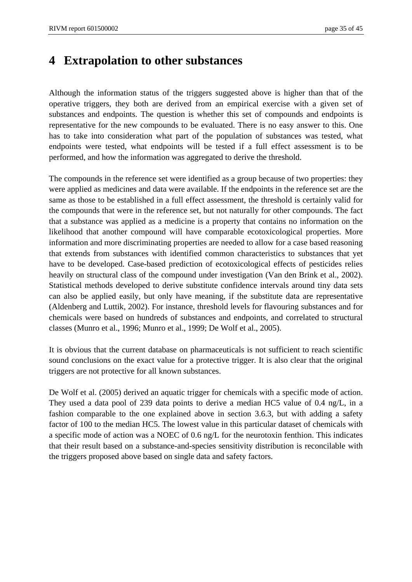## **4 Extrapolation to other substances**

Although the information status of the triggers suggested above is higher than that of the operative triggers, they both are derived from an empirical exercise with a given set of substances and endpoints. The question is whether this set of compounds and endpoints is representative for the new compounds to be evaluated. There is no easy answer to this. One has to take into consideration what part of the population of substances was tested, what endpoints were tested, what endpoints will be tested if a full effect assessment is to be performed, and how the information was aggregated to derive the threshold.

The compounds in the reference set were identified as a group because of two properties: they were applied as medicines and data were available. If the endpoints in the reference set are the same as those to be established in a full effect assessment, the threshold is certainly valid for the compounds that were in the reference set, but not naturally for other compounds. The fact that a substance was applied as a medicine is a property that contains no information on the likelihood that another compound will have comparable ecotoxicological properties. More information and more discriminating properties are needed to allow for a case based reasoning that extends from substances with identified common characteristics to substances that yet have to be developed. Case-based prediction of ecotoxicological effects of pesticides relies heavily on structural class of the compound under investigation (Van den Brink et al., 2002). Statistical methods developed to derive substitute confidence intervals around tiny data sets can also be applied easily, but only have meaning, if the substitute data are representative (Aldenberg and Luttik, 2002). For instance, threshold levels for flavouring substances and for chemicals were based on hundreds of substances and endpoints, and correlated to structural classes (Munro et al., 1996; Munro et al., 1999; De Wolf et al., 2005).

It is obvious that the current database on pharmaceuticals is not sufficient to reach scientific sound conclusions on the exact value for a protective trigger. It is also clear that the original triggers are not protective for all known substances.

De Wolf et al. (2005) derived an aquatic trigger for chemicals with a specific mode of action. They used a data pool of 239 data points to derive a median HC5 value of 0.4 ng/L, in a fashion comparable to the one explained above in section 3.6.3, but with adding a safety factor of 100 to the median HC5. The lowest value in this particular dataset of chemicals with a specific mode of action was a NOEC of 0.6 ng/L for the neurotoxin fenthion. This indicates that their result based on a substance-and-species sensitivity distribution is reconcilable with the triggers proposed above based on single data and safety factors.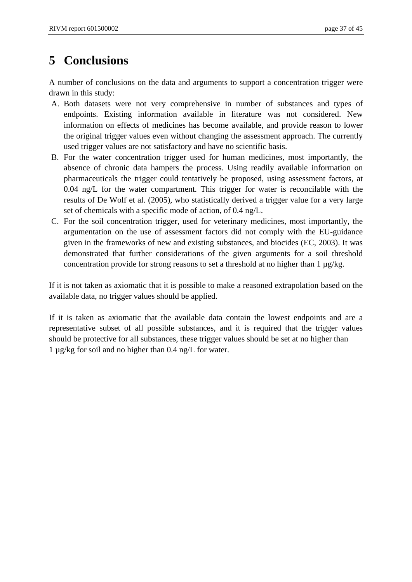## **5 Conclusions**

A number of conclusions on the data and arguments to support a concentration trigger were drawn in this study:

- A. Both datasets were not very comprehensive in number of substances and types of endpoints. Existing information available in literature was not considered. New information on effects of medicines has become available, and provide reason to lower the original trigger values even without changing the assessment approach. The currently used trigger values are not satisfactory and have no scientific basis.
- B. For the water concentration trigger used for human medicines, most importantly, the absence of chronic data hampers the process. Using readily available information on pharmaceuticals the trigger could tentatively be proposed, using assessment factors, at 0.04 ng/L for the water compartment. This trigger for water is reconcilable with the results of De Wolf et al. (2005), who statistically derived a trigger value for a very large set of chemicals with a specific mode of action, of 0.4 ng/L.
- C. For the soil concentration trigger, used for veterinary medicines, most importantly, the argumentation on the use of assessment factors did not comply with the EU-guidance given in the frameworks of new and existing substances, and biocides (EC, 2003). It was demonstrated that further considerations of the given arguments for a soil threshold concentration provide for strong reasons to set a threshold at no higher than  $1 \mu g/kg$ .

If it is not taken as axiomatic that it is possible to make a reasoned extrapolation based on the available data, no trigger values should be applied.

If it is taken as axiomatic that the available data contain the lowest endpoints and are a representative subset of all possible substances, and it is required that the trigger values should be protective for all substances, these trigger values should be set at no higher than 1 µg/kg for soil and no higher than 0.4 ng/L for water.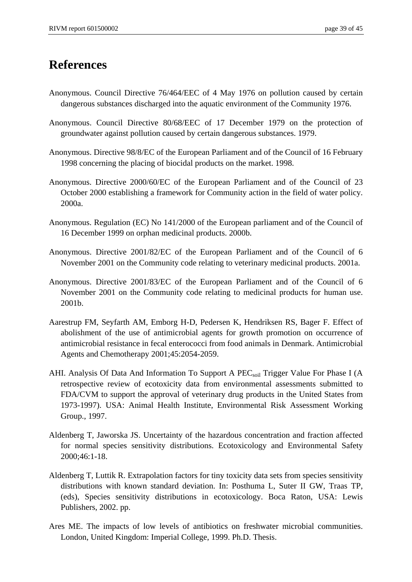## **References**

- Anonymous. Council Directive 76/464/EEC of 4 May 1976 on pollution caused by certain dangerous substances discharged into the aquatic environment of the Community 1976.
- Anonymous. Council Directive 80/68/EEC of 17 December 1979 on the protection of groundwater against pollution caused by certain dangerous substances. 1979.
- Anonymous. Directive 98/8/EC of the European Parliament and of the Council of 16 February 1998 concerning the placing of biocidal products on the market. 1998.
- Anonymous. Directive 2000/60/EC of the European Parliament and of the Council of 23 October 2000 establishing a framework for Community action in the field of water policy. 2000a.
- Anonymous. Regulation (EC) No 141/2000 of the European parliament and of the Council of 16 December 1999 on orphan medicinal products. 2000b.
- Anonymous. Directive 2001/82/EC of the European Parliament and of the Council of 6 November 2001 on the Community code relating to veterinary medicinal products. 2001a.
- Anonymous. Directive 2001/83/EC of the European Parliament and of the Council of 6 November 2001 on the Community code relating to medicinal products for human use. 2001b.
- Aarestrup FM, Seyfarth AM, Emborg H-D, Pedersen K, Hendriksen RS, Bager F. Effect of abolishment of the use of antimicrobial agents for growth promotion on occurrence of antimicrobial resistance in fecal enterococci from food animals in Denmark. Antimicrobial Agents and Chemotherapy 2001;45:2054-2059.
- AHI. Analysis Of Data And Information To Support A  $PEC<sub>soil</sub>$  Trigger Value For Phase I (A retrospective review of ecotoxicity data from environmental assessments submitted to FDA/CVM to support the approval of veterinary drug products in the United States from 1973-1997). USA: Animal Health Institute, Environmental Risk Assessment Working Group., 1997.
- Aldenberg T, Jaworska JS. Uncertainty of the hazardous concentration and fraction affected for normal species sensitivity distributions. Ecotoxicology and Environmental Safety 2000;46:1-18.
- Aldenberg T, Luttik R. Extrapolation factors for tiny toxicity data sets from species sensitivity distributions with known standard deviation. In: Posthuma L, Suter II GW, Traas TP, (eds), Species sensitivity distributions in ecotoxicology. Boca Raton, USA: Lewis Publishers, 2002. pp.
- Ares ME. The impacts of low levels of antibiotics on freshwater microbial communities. London, United Kingdom: Imperial College, 1999. Ph.D. Thesis.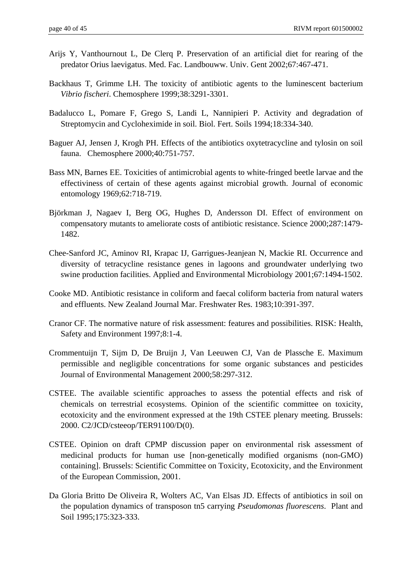- Arijs Y, Vanthournout L, De Clerq P. Preservation of an artificial diet for rearing of the predator Orius laevigatus. Med. Fac. Landbouww. Univ. Gent 2002;67:467-471.
- Backhaus T, Grimme LH. The toxicity of antibiotic agents to the luminescent bacterium *Vibrio fischeri*. Chemosphere 1999;38:3291-3301.
- Badalucco L, Pomare F, Grego S, Landi L, Nannipieri P. Activity and degradation of Streptomycin and Cycloheximide in soil. Biol. Fert. Soils 1994;18:334-340.
- Baguer AJ, Jensen J, Krogh PH. Effects of the antibiotics oxytetracycline and tylosin on soil fauna. Chemosphere 2000;40:751-757.
- Bass MN, Barnes EE. Toxicities of antimicrobial agents to white-fringed beetle larvae and the effectiviness of certain of these agents against microbial growth. Journal of economic entomology 1969;62:718-719.
- Björkman J, Nagaev I, Berg OG, Hughes D, Andersson DI. Effect of environment on compensatory mutants to ameliorate costs of antibiotic resistance. Science 2000;287:1479- 1482.
- Chee-Sanford JC, Aminov RI, Krapac IJ, Garrigues-Jeanjean N, Mackie RI. Occurrence and diversity of tetracycline resistance genes in lagoons and groundwater underlying two swine production facilities. Applied and Environmental Microbiology 2001;67:1494-1502.
- Cooke MD. Antibiotic resistance in coliform and faecal coliform bacteria from natural waters and effluents. New Zealand Journal Mar. Freshwater Res. 1983;10:391-397.
- Cranor CF. The normative nature of risk assessment: features and possibilities. RISK: Health, Safety and Environment 1997;8:1-4.
- Crommentuijn T, Sijm D, De Bruijn J, Van Leeuwen CJ, Van de Plassche E. Maximum permissible and negligible concentrations for some organic substances and pesticides Journal of Environmental Management 2000;58:297-312.
- CSTEE. The available scientific approaches to assess the potential effects and risk of chemicals on terrestrial ecosystems. Opinion of the scientific committee on toxicity, ecotoxicity and the environment expressed at the 19th CSTEE plenary meeting. Brussels: 2000. C2/JCD/csteeop/TER91100/D(0).
- CSTEE. Opinion on draft CPMP discussion paper on environmental risk assessment of medicinal products for human use [non-genetically modified organisms (non-GMO) containing]. Brussels: Scientific Committee on Toxicity, Ecotoxicity, and the Environment of the European Commission, 2001.
- Da Gloria Britto De Oliveira R, Wolters AC, Van Elsas JD. Effects of antibiotics in soil on the population dynamics of transposon tn5 carrying *Pseudomonas fluorescens*. Plant and Soil 1995;175:323-333.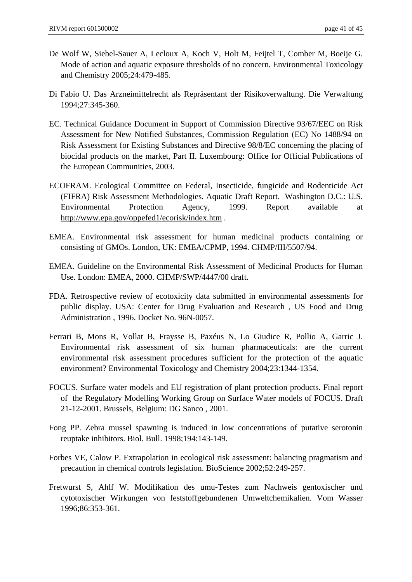- De Wolf W, Siebel-Sauer A, Lecloux A, Koch V, Holt M, Feijtel T, Comber M, Boeije G. Mode of action and aquatic exposure thresholds of no concern. Environmental Toxicology and Chemistry 2005;24:479-485.
- Di Fabio U. Das Arzneimittelrecht als Repräsentant der Risikoverwaltung. Die Verwaltung 1994;27:345-360.
- EC. Technical Guidance Document in Support of Commission Directive 93/67/EEC on Risk Assessment for New Notified Substances, Commission Regulation (EC) No 1488/94 on Risk Assessment for Existing Substances and Directive 98/8/EC concerning the placing of biocidal products on the market, Part II. Luxembourg: Office for Official Publications of the European Communities, 2003.
- ECOFRAM. Ecological Committee on Federal, Insecticide, fungicide and Rodenticide Act (FIFRA) Risk Assessment Methodologies. Aquatic Draft Report. Washington D.C.: U.S. Environmental Protection Agency, 1999. Report available at http://www.epa.gov/oppefed1/ecorisk/index.htm .
- EMEA. Environmental risk assessment for human medicinal products containing or consisting of GMOs. London, UK: EMEA/CPMP, 1994. CHMP/III/5507/94.
- EMEA. Guideline on the Environmental Risk Assessment of Medicinal Products for Human Use. London: EMEA, 2000. CHMP/SWP/4447/00 draft.
- FDA. Retrospective review of ecotoxicity data submitted in environmental assessments for public display. USA: Center for Drug Evaluation and Research , US Food and Drug Administration , 1996. Docket No. 96N-0057.
- Ferrari B, Mons R, Vollat B, Fraysse B, Paxéus N, Lo Giudice R, Pollio A, Garric J. Environmental risk assessment of six human pharmaceuticals: are the current environmental risk assessment procedures sufficient for the protection of the aquatic environment? Environmental Toxicology and Chemistry 2004;23:1344-1354.
- FOCUS. Surface water models and EU registration of plant protection products. Final report of the Regulatory Modelling Working Group on Surface Water models of FOCUS. Draft 21-12-2001. Brussels, Belgium: DG Sanco , 2001.
- Fong PP. Zebra mussel spawning is induced in low concentrations of putative serotonin reuptake inhibitors. Biol. Bull. 1998;194:143-149.
- Forbes VE, Calow P. Extrapolation in ecological risk assessment: balancing pragmatism and precaution in chemical controls legislation. BioScience 2002;52:249-257.
- Fretwurst S, Ahlf W. Modifikation des umu-Testes zum Nachweis gentoxischer und cytotoxischer Wirkungen von feststoffgebundenen Umweltchemikalien. Vom Wasser 1996;86:353-361.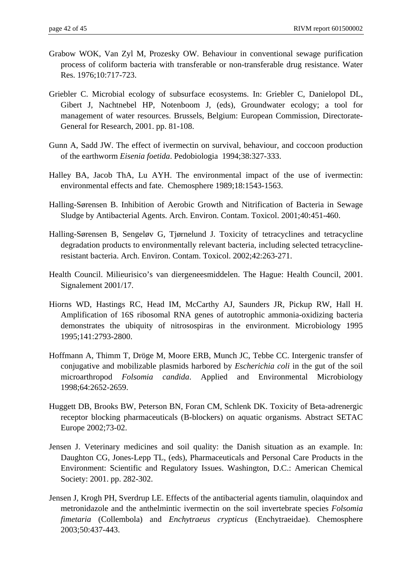- Grabow WOK, Van Zyl M, Prozesky OW. Behaviour in conventional sewage purification process of coliform bacteria with transferable or non-transferable drug resistance. Water Res. 1976;10:717-723.
- Griebler C. Microbial ecology of subsurface ecosystems. In: Griebler C, Danielopol DL, Gibert J, Nachtnebel HP, Notenboom J, (eds), Groundwater ecology; a tool for management of water resources. Brussels, Belgium: European Commission, Directorate-General for Research, 2001. pp. 81-108.
- Gunn A, Sadd JW. The effect of ivermectin on survival, behaviour, and coccoon production of the earthworm *Eisenia foetida*. Pedobiologia 1994;38:327-333.
- Halley BA, Jacob ThA, Lu AYH. The environmental impact of the use of ivermectin: environmental effects and fate. Chemosphere 1989;18:1543-1563.
- Halling-Sørensen B. Inhibition of Aerobic Growth and Nitrification of Bacteria in Sewage Sludge by Antibacterial Agents. Arch. Environ. Contam. Toxicol. 2001;40:451-460.
- Halling-Sørensen B, Sengeløv G, Tjørnelund J. Toxicity of tetracyclines and tetracycline degradation products to environmentally relevant bacteria, including selected tetracyclineresistant bacteria. Arch. Environ. Contam. Toxicol. 2002;42:263-271.
- Health Council. Milieurisico's van diergeneesmiddelen. The Hague: Health Council, 2001. Signalement 2001/17.
- Hiorns WD, Hastings RC, Head IM, McCarthy AJ, Saunders JR, Pickup RW, Hall H. Amplification of 16S ribosomal RNA genes of autotrophic ammonia-oxidizing bacteria demonstrates the ubiquity of nitrosospiras in the environment. Microbiology 1995 1995;141:2793-2800.
- Hoffmann A, Thimm T, Dröge M, Moore ERB, Munch JC, Tebbe CC. Intergenic transfer of conjugative and mobilizable plasmids harbored by *Escherichia coli* in the gut of the soil microarthropod *Folsomia candida*. Applied and Environmental Microbiology 1998;64:2652-2659.
- Huggett DB, Brooks BW, Peterson BN, Foran CM, Schlenk DK. Toxicity of Beta-adrenergic receptor blocking pharmaceuticals (B-blockers) on aquatic organisms. Abstract SETAC Europe 2002;73-02.
- Jensen J. Veterinary medicines and soil quality: the Danish situation as an example. In: Daughton CG, Jones-Lepp TL, (eds), Pharmaceuticals and Personal Care Products in the Environment: Scientific and Regulatory Issues. Washington, D.C.: American Chemical Society: 2001. pp. 282-302.
- Jensen J, Krogh PH, Sverdrup LE. Effects of the antibacterial agents tiamulin, olaquindox and metronidazole and the anthelmintic ivermectin on the soil invertebrate species *Folsomia fimetaria* (Collembola) and *Enchytraeus crypticus* (Enchytraeidae). Chemosphere 2003;50:437-443.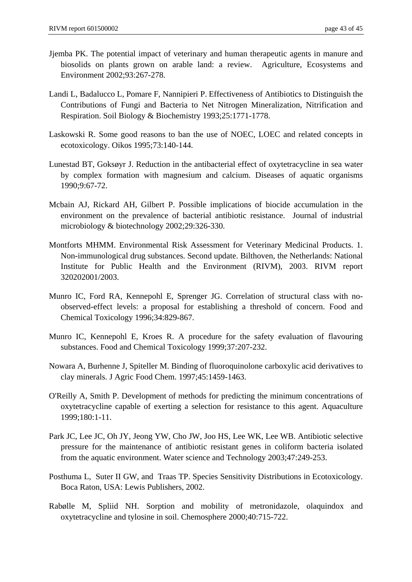- Jjemba PK. The potential impact of veterinary and human therapeutic agents in manure and biosolids on plants grown on arable land: a review. Agriculture, Ecosystems and Environment 2002;93:267-278.
- Landi L, Badalucco L, Pomare F, Nannipieri P. Effectiveness of Antibiotics to Distinguish the Contributions of Fungi and Bacteria to Net Nitrogen Mineralization, Nitrification and Respiration. Soil Biology & Biochemistry 1993;25:1771-1778.
- Laskowski R. Some good reasons to ban the use of NOEC, LOEC and related concepts in ecotoxicology. Oikos 1995;73:140-144.
- Lunestad BT, Goksøyr J. Reduction in the antibacterial effect of oxytetracycline in sea water by complex formation with magnesium and calcium. Diseases of aquatic organisms 1990;9:67-72.
- Mcbain AJ, Rickard AH, Gilbert P. Possible implications of biocide accumulation in the environment on the prevalence of bacterial antibiotic resistance. Journal of industrial microbiology & biotechnology 2002;29:326-330.
- Montforts MHMM. Environmental Risk Assessment for Veterinary Medicinal Products. 1. Non-immunological drug substances. Second update. Bilthoven, the Netherlands: National Institute for Public Health and the Environment (RIVM), 2003. RIVM report 320202001/2003.
- Munro IC, Ford RA, Kennepohl E, Sprenger JG. Correlation of structural class with noobserved-effect levels: a proposal for establishing a threshold of concern. Food and Chemical Toxicology 1996;34:829-867.
- Munro IC, Kennepohl E, Kroes R. A procedure for the safety evaluation of flavouring substances. Food and Chemical Toxicology 1999;37:207-232.
- Nowara A, Burhenne J, Spiteller M. Binding of fluoroquinolone carboxylic acid derivatives to clay minerals. J Agric Food Chem. 1997;45:1459-1463.
- O'Reilly A, Smith P. Development of methods for predicting the minimum concentrations of oxytetracycline capable of exerting a selection for resistance to this agent. Aquaculture 1999;180:1-11.
- Park JC, Lee JC, Oh JY, Jeong YW, Cho JW, Joo HS, Lee WK, Lee WB. Antibiotic selective pressure for the maintenance of antibiotic resistant genes in coliform bacteria isolated from the aquatic environment. Water science and Technology 2003;47:249-253.
- Posthuma L, Suter II GW, and Traas TP. Species Sensitivity Distributions in Ecotoxicology. Boca Raton, USA: Lewis Publishers, 2002.
- Rabølle M, Spliid NH. Sorption and mobility of metronidazole, olaquindox and oxytetracycline and tylosine in soil. Chemosphere 2000;40:715-722.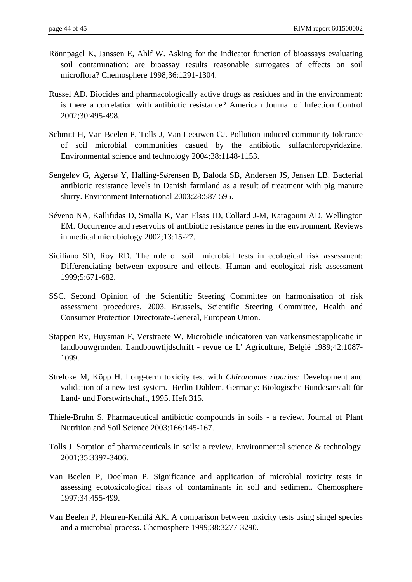- Rönnpagel K, Janssen E, Ahlf W. Asking for the indicator function of bioassays evaluating soil contamination: are bioassay results reasonable surrogates of effects on soil microflora? Chemosphere 1998;36:1291-1304.
- Russel AD. Biocides and pharmacologically active drugs as residues and in the environment: is there a correlation with antibiotic resistance? American Journal of Infection Control 2002;30:495-498.
- Schmitt H, Van Beelen P, Tolls J, Van Leeuwen CJ. Pollution-induced community tolerance of soil microbial communities casued by the antibiotic sulfachloropyridazine. Environmental science and technology 2004;38:1148-1153.
- Sengeløv G, Agersø Y, Halling-Sørensen B, Baloda SB, Andersen JS, Jensen LB. Bacterial antibiotic resistance levels in Danish farmland as a result of treatment with pig manure slurry. Environment International 2003;28:587-595.
- Séveno NA, Kallifidas D, Smalla K, Van Elsas JD, Collard J-M, Karagouni AD, Wellington EM. Occurrence and reservoirs of antibiotic resistance genes in the environment. Reviews in medical microbiology 2002;13:15-27.
- Siciliano SD, Roy RD. The role of soil microbial tests in ecological risk assessment: Differenciating between exposure and effects. Human and ecological risk assessment 1999;5:671-682.
- SSC. Second Opinion of the Scientific Steering Committee on harmonisation of risk assessment procedures. 2003. Brussels, Scientific Steering Committee, Health and Consumer Protection Directorate-General, European Union.
- Stappen Rv, Huysman F, Verstraete W. Microbiële indicatoren van varkensmestapplicatie in landbouwgronden. Landbouwtijdschrift - revue de L' Agriculture, België 1989;42:1087- 1099.
- Streloke M, Köpp H. Long-term toxicity test with *Chironomus riparius:* Development and validation of a new test system. Berlin-Dahlem, Germany: Biologische Bundesanstalt für Land- und Forstwirtschaft, 1995. Heft 315.
- Thiele-Bruhn S. Pharmaceutical antibiotic compounds in soils a review. Journal of Plant Nutrition and Soil Science 2003;166:145-167.
- Tolls J. Sorption of pharmaceuticals in soils: a review. Environmental science & technology. 2001;35:3397-3406.
- Van Beelen P, Doelman P. Significance and application of microbial toxicity tests in assessing ecotoxicological risks of contaminants in soil and sediment. Chemosphere 1997;34:455-499.
- Van Beelen P, Fleuren-Kemilä AK. A comparison between toxicity tests using singel species and a microbial process. Chemosphere 1999;38:3277-3290.